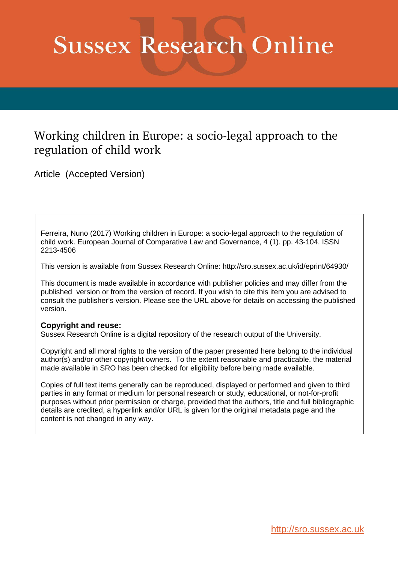# **Sussex Research Online**

# Working children in Europe: a socio-legal approach to the regulation of child work

Article (Accepted Version)

Ferreira, Nuno (2017) Working children in Europe: a socio-legal approach to the regulation of child work. European Journal of Comparative Law and Governance, 4 (1). pp. 43-104. ISSN 2213-4506

This version is available from Sussex Research Online: http://sro.sussex.ac.uk/id/eprint/64930/

This document is made available in accordance with publisher policies and may differ from the published version or from the version of record. If you wish to cite this item you are advised to consult the publisher's version. Please see the URL above for details on accessing the published version.

# **Copyright and reuse:**

Sussex Research Online is a digital repository of the research output of the University.

Copyright and all moral rights to the version of the paper presented here belong to the individual author(s) and/or other copyright owners. To the extent reasonable and practicable, the material made available in SRO has been checked for eligibility before being made available.

Copies of full text items generally can be reproduced, displayed or performed and given to third parties in any format or medium for personal research or study, educational, or not-for-profit purposes without prior permission or charge, provided that the authors, title and full bibliographic details are credited, a hyperlink and/or URL is given for the original metadata page and the content is not changed in any way.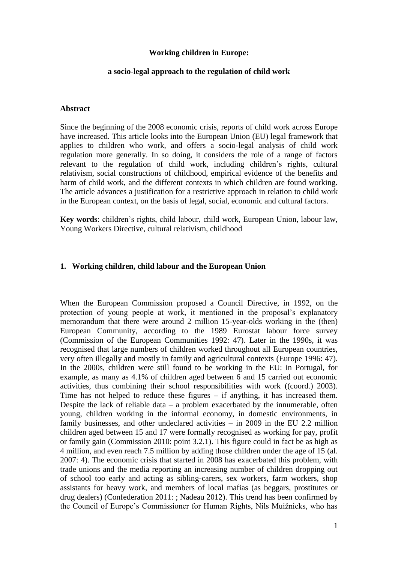# **Working children in Europe:**

#### **a socio-legal approach to the regulation of child work**

#### **Abstract**

Since the beginning of the 2008 economic crisis, reports of child work across Europe have increased. This article looks into the European Union (EU) legal framework that applies to children who work, and offers a socio-legal analysis of child work regulation more generally. In so doing, it considers the role of a range of factors relevant to the regulation of child work, including children's rights, cultural relativism, social constructions of childhood, empirical evidence of the benefits and harm of child work, and the different contexts in which children are found working. The article advances a justification for a restrictive approach in relation to child work in the European context, on the basis of legal, social, economic and cultural factors.

**Key words**: children's rights, child labour, child work, European Union, labour law, Young Workers Directive, cultural relativism, childhood

#### **1. Working children, child labour and the European Union**

When the European Commission proposed a Council Directive, in 1992, on the protection of young people at work, it mentioned in the proposal's explanatory memorandum that there were around 2 million 15-year-olds working in the (then) European Community, according to the 1989 Eurostat labour force survey (Commission of the European Communities 1992: 47). Later in the 1990s, it was recognised that large numbers of children worked throughout all European countries, very often illegally and mostly in family and agricultural contexts (Europe 1996: 47). In the 2000s, children were still found to be working in the EU: in Portugal, for example, as many as 4.1% of children aged between 6 and 15 carried out economic activities, thus combining their school responsibilities with work ((coord.) 2003). Time has not helped to reduce these figures – if anything, it has increased them. Despite the lack of reliable data  $-$  a problem exacerbated by the innumerable, often young, children working in the informal economy, in domestic environments, in family businesses, and other undeclared activities – in 2009 in the EU 2.2 million children aged between 15 and 17 were formally recognised as working for pay, profit or family gain (Commission 2010: point 3.2.1). This figure could in fact be as high as 4 million, and even reach 7.5 million by adding those children under the age of 15 (al. 2007: 4). The economic crisis that started in 2008 has exacerbated this problem, with trade unions and the media reporting an increasing number of children dropping out of school too early and acting as sibling-carers, sex workers, farm workers, shop assistants for heavy work, and members of local mafias (as beggars, prostitutes or drug dealers) (Confederation 2011: ; Nadeau 2012). This trend has been confirmed by the Council of Europe's Commissioner for Human Rights, Nils Muižnieks, who has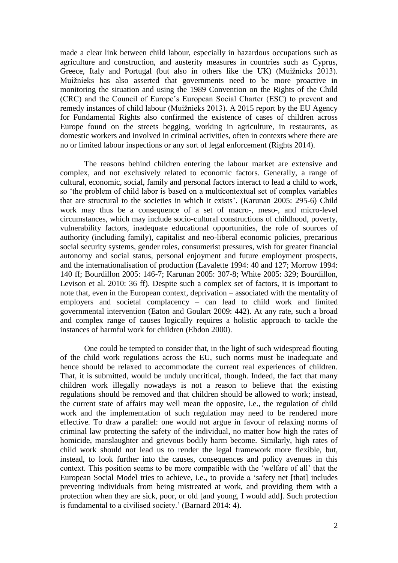made a clear link between child labour, especially in hazardous occupations such as agriculture and construction, and austerity measures in countries such as Cyprus, Greece, Italy and Portugal (but also in others like the UK) (Muižnieks 2013). Muižnieks has also asserted that governments need to be more proactive in monitoring the situation and using the 1989 Convention on the Rights of the Child (CRC) and the Council of Europe's European Social Charter (ESC) to prevent and remedy instances of child labour (Muižnieks 2013). A 2015 report by the EU Agency for Fundamental Rights also confirmed the existence of cases of children across Europe found on the streets begging, working in agriculture, in restaurants, as domestic workers and involved in criminal activities, often in contexts where there are no or limited labour inspections or any sort of legal enforcement (Rights 2014).

The reasons behind children entering the labour market are extensive and complex, and not exclusively related to economic factors. Generally, a range of cultural, economic, social, family and personal factors interact to lead a child to work, so 'the problem of child labor is based on a multicontextual set of complex variables that are structural to the societies in which it exists'. (Karunan 2005: 295-6) Child work may thus be a consequence of a set of macro-, meso-, and micro-level circumstances, which may include socio-cultural constructions of childhood, poverty, vulnerability factors, inadequate educational opportunities, the role of sources of authority (including family), capitalist and neo-liberal economic policies, precarious social security systems, gender roles, consumerist pressures, wish for greater financial autonomy and social status, personal enjoyment and future employment prospects, and the internationalisation of production (Lavalette 1994: 40 and 127; Morrow 1994: 140 ff; Bourdillon 2005: 146-7; Karunan 2005: 307-8; White 2005: 329; Bourdillon, Levison et al. 2010: 36 ff). Despite such a complex set of factors, it is important to note that, even in the European context, deprivation – associated with the mentality of employers and societal complacency – can lead to child work and limited governmental intervention (Eaton and Goulart 2009: 442). At any rate, such a broad and complex range of causes logically requires a holistic approach to tackle the instances of harmful work for children (Ebdon 2000).

One could be tempted to consider that, in the light of such widespread flouting of the child work regulations across the EU, such norms must be inadequate and hence should be relaxed to accommodate the current real experiences of children. That, it is submitted, would be unduly uncritical, though. Indeed, the fact that many children work illegally nowadays is not a reason to believe that the existing regulations should be removed and that children should be allowed to work; instead, the current state of affairs may well mean the opposite, i.e., the regulation of child work and the implementation of such regulation may need to be rendered more effective. To draw a parallel: one would not argue in favour of relaxing norms of criminal law protecting the safety of the individual, no matter how high the rates of homicide, manslaughter and grievous bodily harm become. Similarly, high rates of child work should not lead us to render the legal framework more flexible, but, instead, to look further into the causes, consequences and policy avenues in this context. This position seems to be more compatible with the 'welfare of all' that the European Social Model tries to achieve, i.e., to provide a 'safety net [that] includes preventing individuals from being mistreated at work, and providing them with a protection when they are sick, poor, or old [and young, I would add]. Such protection is fundamental to a civilised society.' (Barnard 2014: 4).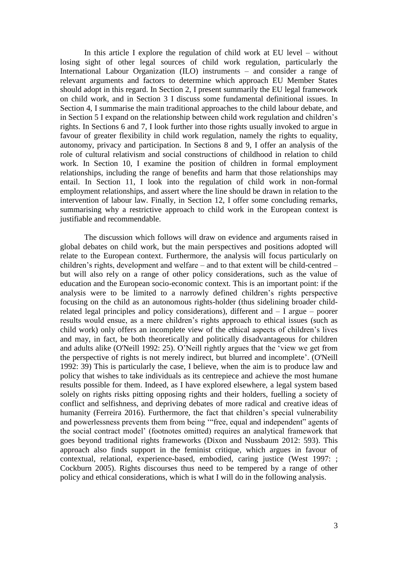In this article I explore the regulation of child work at EU level – without losing sight of other legal sources of child work regulation, particularly the International Labour Organization (ILO) instruments – and consider a range of relevant arguments and factors to determine which approach EU Member States should adopt in this regard. In Section 2, I present summarily the EU legal framework on child work, and in Section 3 I discuss some fundamental definitional issues. In Section 4, I summarise the main traditional approaches to the child labour debate, and in Section 5 I expand on the relationship between child work regulation and children's rights. In Sections 6 and 7, I look further into those rights usually invoked to argue in favour of greater flexibility in child work regulation, namely the rights to equality, autonomy, privacy and participation. In Sections 8 and 9, I offer an analysis of the role of cultural relativism and social constructions of childhood in relation to child work. In Section 10, I examine the position of children in formal employment relationships, including the range of benefits and harm that those relationships may entail. In Section 11, I look into the regulation of child work in non-formal employment relationships, and assert where the line should be drawn in relation to the intervention of labour law. Finally, in Section 12, I offer some concluding remarks, summarising why a restrictive approach to child work in the European context is justifiable and recommendable.

The discussion which follows will draw on evidence and arguments raised in global debates on child work, but the main perspectives and positions adopted will relate to the European context. Furthermore, the analysis will focus particularly on children's rights, development and welfare – and to that extent will be child-centred – but will also rely on a range of other policy considerations, such as the value of education and the European socio-economic context. This is an important point: if the analysis were to be limited to a narrowly defined children's rights perspective focusing on the child as an autonomous rights-holder (thus sidelining broader childrelated legal principles and policy considerations), different and – I argue – poorer results would ensue, as a mere children's rights approach to ethical issues (such as child work) only offers an incomplete view of the ethical aspects of children's lives and may, in fact, be both theoretically and politically disadvantageous for children and adults alike (O'Neill 1992: 25). O'Neill rightly argues that the 'view we get from the perspective of rights is not merely indirect, but blurred and incomplete'. (O'Neill 1992: 39) This is particularly the case, I believe, when the aim is to produce law and policy that wishes to take individuals as its centrepiece and achieve the most humane results possible for them. Indeed, as I have explored elsewhere, a legal system based solely on rights risks pitting opposing rights and their holders, fuelling a society of conflict and selfishness, and depriving debates of more radical and creative ideas of humanity (Ferreira 2016). Furthermore, the fact that children's special vulnerability and powerlessness prevents them from being '"free, equal and independent" agents of the social contract model' (footnotes omitted) requires an analytical framework that goes beyond traditional rights frameworks (Dixon and Nussbaum 2012: 593). This approach also finds support in the feminist critique, which argues in favour of contextual, relational, experience-based, embodied, caring justice (West 1997: ; Cockburn 2005). Rights discourses thus need to be tempered by a range of other policy and ethical considerations, which is what I will do in the following analysis.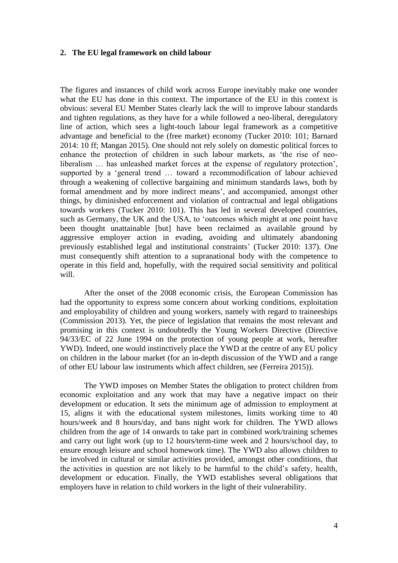#### **2. The EU legal framework on child labour**

The figures and instances of child work across Europe inevitably make one wonder what the EU has done in this context. The importance of the EU in this context is obvious: several EU Member States clearly lack the will to improve labour standards and tighten regulations, as they have for a while followed a neo-liberal, deregulatory line of action, which sees a light-touch labour legal framework as a competitive advantage and beneficial to the (free market) economy (Tucker 2010: 101; Barnard 2014: 10 ff; Mangan 2015). One should not rely solely on domestic political forces to enhance the protection of children in such labour markets, as 'the rise of neoliberalism … has unleashed market forces at the expense of regulatory protection', supported by a 'general trend … toward a recommodification of labour achieved through a weakening of collective bargaining and minimum standards laws, both by formal amendment and by more indirect means', and accompanied, amongst other things, by diminished enforcement and violation of contractual and legal obligations towards workers (Tucker 2010: 101). This has led in several developed countries, such as Germany, the UK and the USA, to 'outcomes which might at one point have been thought unattainable [but] have been reclaimed as available ground by aggressive employer action in evading, avoiding and ultimately abandoning previously established legal and institutional constraints' (Tucker 2010: 137). One must consequently shift attention to a supranational body with the competence to operate in this field and, hopefully, with the required social sensitivity and political will.

After the onset of the 2008 economic crisis, the European Commission has had the opportunity to express some concern about working conditions, exploitation and employability of children and young workers, namely with regard to traineeships (Commission 2013). Yet, the piece of legislation that remains the most relevant and promising in this context is undoubtedly the Young Workers Directive (Directive 94/33/EC of 22 June 1994 on the protection of young people at work, hereafter YWD). Indeed, one would instinctively place the YWD at the centre of any EU policy on children in the labour market (for an in-depth discussion of the YWD and a range of other EU labour law instruments which affect children, see (Ferreira 2015)).

The YWD imposes on Member States the obligation to protect children from economic exploitation and any work that may have a negative impact on their development or education. It sets the minimum age of admission to employment at 15, aligns it with the educational system milestones, limits working time to 40 hours/week and 8 hours/day, and bans night work for children. The YWD allows children from the age of 14 onwards to take part in combined work/training schemes and carry out light work (up to 12 hours/term-time week and 2 hours/school day, to ensure enough leisure and school homework time). The YWD also allows children to be involved in cultural or similar activities provided, amongst other conditions, that the activities in question are not likely to be harmful to the child's safety, health, development or education. Finally, the YWD establishes several obligations that employers have in relation to child workers in the light of their vulnerability.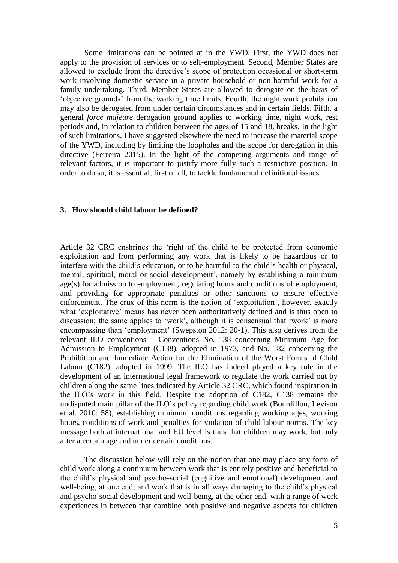Some limitations can be pointed at in the YWD. First, the YWD does not apply to the provision of services or to self-employment. Second, Member States are allowed to exclude from the directive's scope of protection occasional or short-term work involving domestic service in a private household or non-harmful work for a family undertaking. Third, Member States are allowed to derogate on the basis of 'objective grounds' from the working time limits. Fourth, the night work prohibition may also be derogated from under certain circumstances and in certain fields. Fifth, a general *force majeure* derogation ground applies to working time, night work, rest periods and, in relation to children between the ages of 15 and 18, breaks. In the light of such limitations, I have suggested elsewhere the need to increase the material scope of the YWD, including by limiting the loopholes and the scope for derogation in this directive (Ferreira 2015). In the light of the competing arguments and range of relevant factors, it is important to justify more fully such a restrictive position. In order to do so, it is essential, first of all, to tackle fundamental definitional issues.

#### **3. How should child labour be defined?**

Article 32 CRC enshrines the 'right of the child to be protected from economic exploitation and from performing any work that is likely to be hazardous or to interfere with the child's education, or to be harmful to the child's health or physical, mental, spiritual, moral or social development', namely by establishing a minimum age(s) for admission to employment, regulating hours and conditions of employment, and providing for appropriate penalties or other sanctions to ensure effective enforcement. The crux of this norm is the notion of 'exploitation', however, exactly what 'exploitative' means has never been authoritatively defined and is thus open to discussion; the same applies to 'work', although it is consensual that 'work' is more encompassing than 'employment' (Swepston 2012: 20-1). This also derives from the relevant ILO conventions – Conventions No. 138 concerning Minimum Age for Admission to Employment (C138), adopted in 1973, and No. 182 concerning the Prohibition and Immediate Action for the Elimination of the Worst Forms of Child Labour (C182), adopted in 1999. The ILO has indeed played a key role in the development of an international legal framework to regulate the work carried out by children along the same lines indicated by Article 32 CRC, which found inspiration in the ILO's work in this field. Despite the adoption of C182, C138 remains the undisputed main pillar of the ILO's policy regarding child work (Bourdillon, Levison et al. 2010: 58), establishing minimum conditions regarding working ages, working hours, conditions of work and penalties for violation of child labour norms. The key message both at international and EU level is thus that children may work, but only after a certain age and under certain conditions.

The discussion below will rely on the notion that one may place any form of child work along a continuum between work that is entirely positive and beneficial to the child's physical and psycho-social (cognitive and emotional) development and well-being, at one end, and work that is in all ways damaging to the child's physical and psycho-social development and well-being, at the other end, with a range of work experiences in between that combine both positive and negative aspects for children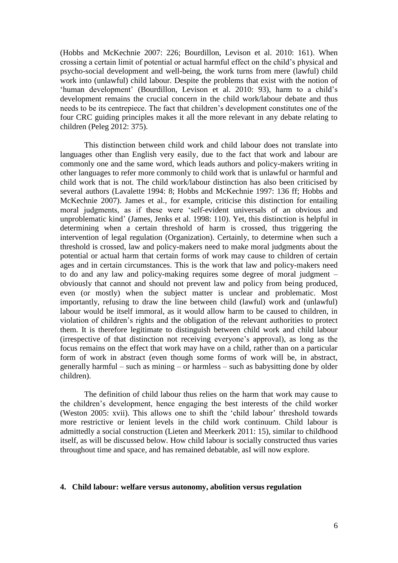(Hobbs and McKechnie 2007: 226; Bourdillon, Levison et al. 2010: 161). When crossing a certain limit of potential or actual harmful effect on the child's physical and psycho-social development and well-being, the work turns from mere (lawful) child work into (unlawful) child labour. Despite the problems that exist with the notion of 'human development' (Bourdillon, Levison et al. 2010: 93), harm to a child's development remains the crucial concern in the child work/labour debate and thus needs to be its centrepiece. The fact that children's development constitutes one of the four CRC guiding principles makes it all the more relevant in any debate relating to children (Peleg 2012: 375).

This distinction between child work and child labour does not translate into languages other than English very easily, due to the fact that work and labour are commonly one and the same word, which leads authors and policy-makers writing in other languages to refer more commonly to child work that is unlawful or harmful and child work that is not. The child work/labour distinction has also been criticised by several authors (Lavalette 1994: 8; Hobbs and McKechnie 1997: 136 ff; Hobbs and McKechnie 2007). James et al., for example, criticise this distinction for entailing moral judgments, as if these were 'self-evident universals of an obvious and unproblematic kind' (James, Jenks et al. 1998: 110). Yet, this distinction is helpful in determining when a certain threshold of harm is crossed, thus triggering the intervention of legal regulation (Organization). Certainly, to determine when such a threshold is crossed, law and policy-makers need to make moral judgments about the potential or actual harm that certain forms of work may cause to children of certain ages and in certain circumstances. This is the work that law and policy-makers need to do and any law and policy-making requires some degree of moral judgment – obviously that cannot and should not prevent law and policy from being produced, even (or mostly) when the subject matter is unclear and problematic. Most importantly, refusing to draw the line between child (lawful) work and (unlawful) labour would be itself immoral, as it would allow harm to be caused to children, in violation of children's rights and the obligation of the relevant authorities to protect them. It is therefore legitimate to distinguish between child work and child labour (irrespective of that distinction not receiving everyone's approval), as long as the focus remains on the effect that work may have on a child, rather than on a particular form of work in abstract (even though some forms of work will be, in abstract, generally harmful – such as mining – or harmless – such as babysitting done by older children).

The definition of child labour thus relies on the harm that work may cause to the children's development, hence engaging the best interests of the child worker (Weston 2005: xvii). This allows one to shift the 'child labour' threshold towards more restrictive or lenient levels in the child work continuum. Child labour is admittedly a social construction (Lieten and Meerkerk 2011: 15), similar to childhood itself, as will be discussed below. How child labour is socially constructed thus varies throughout time and space, and has remained debatable, asI will now explore.

#### **4. Child labour: welfare versus autonomy, abolition versus regulation**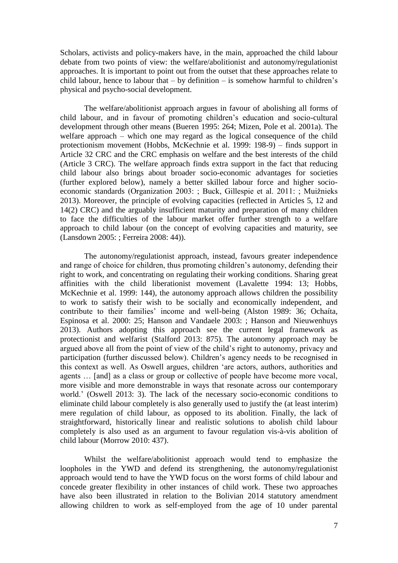Scholars, activists and policy-makers have, in the main, approached the child labour debate from two points of view: the welfare/abolitionist and autonomy/regulationist approaches. It is important to point out from the outset that these approaches relate to child labour, hence to labour that  $-$  by definition  $-$  is somehow harmful to children's physical and psycho-social development.

The welfare/abolitionist approach argues in favour of abolishing all forms of child labour, and in favour of promoting children's education and socio-cultural development through other means (Bueren 1995: 264; Mizen, Pole et al. 2001a). The welfare approach – which one may regard as the logical consequence of the child protectionism movement (Hobbs, McKechnie et al. 1999: 198-9) – finds support in Article 32 CRC and the CRC emphasis on welfare and the best interests of the child (Article 3 CRC). The welfare approach finds extra support in the fact that reducing child labour also brings about broader socio-economic advantages for societies (further explored below), namely a better skilled labour force and higher socioeconomic standards (Organization 2003: ; Buck, Gillespie et al. 2011: ; Muižnieks 2013). Moreover, the principle of evolving capacities (reflected in Articles 5, 12 and 14(2) CRC) and the arguably insufficient maturity and preparation of many children to face the difficulties of the labour market offer further strength to a welfare approach to child labour (on the concept of evolving capacities and maturity, see (Lansdown 2005: ; Ferreira 2008: 44)).

The autonomy/regulationist approach, instead, favours greater independence and range of choice for children, thus promoting children's autonomy, defending their right to work, and concentrating on regulating their working conditions. Sharing great affinities with the child liberationist movement (Lavalette 1994: 13; Hobbs, McKechnie et al. 1999: 144), the autonomy approach allows children the possibility to work to satisfy their wish to be socially and economically independent, and contribute to their families' income and well-being (Alston 1989: 36; Ochaíta, Espinosa et al. 2000: 25; Hanson and Vandaele 2003: ; Hanson and Nieuwenhuys 2013). Authors adopting this approach see the current legal framework as protectionist and welfarist (Stalford 2013: 875). The autonomy approach may be argued above all from the point of view of the child's right to autonomy, privacy and participation (further discussed below). Children's agency needs to be recognised in this context as well. As Oswell argues, children 'are actors, authors, authorities and agents … [and] as a class or group or collective of people have become more vocal, more visible and more demonstrable in ways that resonate across our contemporary world.' (Oswell 2013: 3). The lack of the necessary socio-economic conditions to eliminate child labour completely is also generally used to justify the (at least interim) mere regulation of child labour, as opposed to its abolition. Finally, the lack of straightforward, historically linear and realistic solutions to abolish child labour completely is also used as an argument to favour regulation vis-à-vis abolition of child labour (Morrow 2010: 437).

Whilst the welfare/abolitionist approach would tend to emphasize the loopholes in the YWD and defend its strengthening, the autonomy/regulationist approach would tend to have the YWD focus on the worst forms of child labour and concede greater flexibility in other instances of child work. These two approaches have also been illustrated in relation to the Bolivian 2014 statutory amendment allowing children to work as self-employed from the age of 10 under parental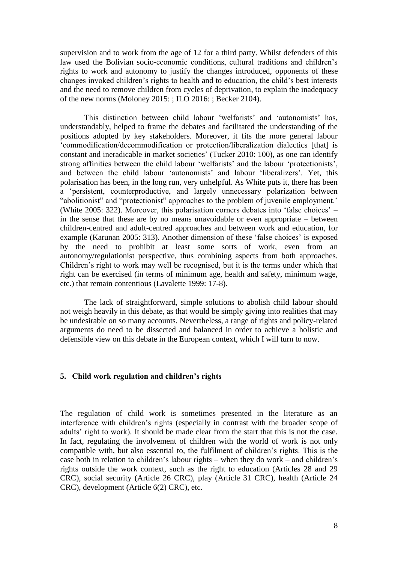supervision and to work from the age of 12 for a third party. Whilst defenders of this law used the Bolivian socio-economic conditions, cultural traditions and children's rights to work and autonomy to justify the changes introduced, opponents of these changes invoked children's rights to health and to education, the child's best interests and the need to remove children from cycles of deprivation, to explain the inadequacy of the new norms (Moloney 2015: ; ILO 2016: ; Becker 2104).

This distinction between child labour 'welfarists' and 'autonomists' has, understandably, helped to frame the debates and facilitated the understanding of the positions adopted by key stakeholders. Moreover, it fits the more general labour 'commodification/decommodification or protection/liberalization dialectics [that] is constant and ineradicable in market societies' (Tucker 2010: 100), as one can identify strong affinities between the child labour 'welfarists' and the labour 'protectionists', and between the child labour 'autonomists' and labour 'liberalizers'. Yet, this polarisation has been, in the long run, very unhelpful. As White puts it, there has been a 'persistent, counterproductive, and largely unnecessary polarization between "abolitionist" and "protectionist" approaches to the problem of juvenile employment.' (White 2005: 322). Moreover, this polarisation corners debates into 'false choices' – in the sense that these are by no means unavoidable or even appropriate – between children-centred and adult-centred approaches and between work and education, for example (Karunan 2005: 313). Another dimension of these 'false choices' is exposed by the need to prohibit at least some sorts of work, even from an autonomy/regulationist perspective, thus combining aspects from both approaches. Children's right to work may well be recognised, but it is the terms under which that right can be exercised (in terms of minimum age, health and safety, minimum wage, etc.) that remain contentious (Lavalette 1999: 17-8).

The lack of straightforward, simple solutions to abolish child labour should not weigh heavily in this debate, as that would be simply giving into realities that may be undesirable on so many accounts. Nevertheless, a range of rights and policy-related arguments do need to be dissected and balanced in order to achieve a holistic and defensible view on this debate in the European context, which I will turn to now.

# **5. Child work regulation and children's rights**

The regulation of child work is sometimes presented in the literature as an interference with children's rights (especially in contrast with the broader scope of adults' right to work). It should be made clear from the start that this is not the case. In fact, regulating the involvement of children with the world of work is not only compatible with, but also essential to, the fulfilment of children's rights. This is the case both in relation to children's labour rights – when they do work – and children's rights outside the work context, such as the right to education (Articles 28 and 29 CRC), social security (Article 26 CRC), play (Article 31 CRC), health (Article 24 CRC), development (Article 6(2) CRC), etc.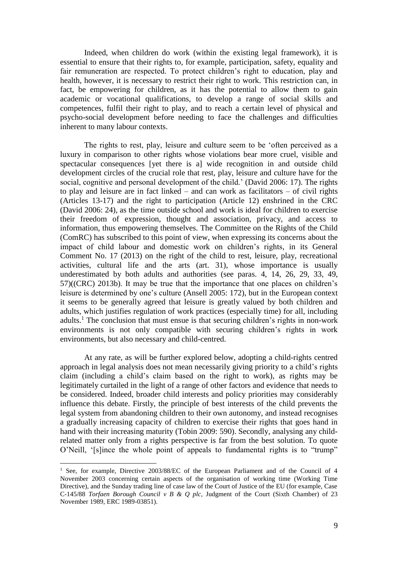Indeed, when children do work (within the existing legal framework), it is essential to ensure that their rights to, for example, participation, safety, equality and fair remuneration are respected. To protect children's right to education, play and health, however, it is necessary to restrict their right to work. This restriction can, in fact, be empowering for children, as it has the potential to allow them to gain academic or vocational qualifications, to develop a range of social skills and competences, fulfil their right to play, and to reach a certain level of physical and psycho-social development before needing to face the challenges and difficulties inherent to many labour contexts.

The rights to rest, play, leisure and culture seem to be 'often perceived as a luxury in comparison to other rights whose violations bear more cruel, visible and spectacular consequences [yet there is a] wide recognition in and outside child development circles of the crucial role that rest, play, leisure and culture have for the social, cognitive and personal development of the child.' (David 2006: 17). The rights to play and leisure are in fact linked – and can work as facilitators – of civil rights (Articles 13-17) and the right to participation (Article 12) enshrined in the CRC (David 2006: 24), as the time outside school and work is ideal for children to exercise their freedom of expression, thought and association, privacy, and access to information, thus empowering themselves. The Committee on the Rights of the Child (ComRC) has subscribed to this point of view, when expressing its concerns about the impact of child labour and domestic work on children's rights, in its General Comment No. 17 (2013) on the right of the child to rest, leisure, play, recreational activities, cultural life and the arts (art. 31), whose importance is usually underestimated by both adults and authorities (see paras. 4, 14, 26, 29, 33, 49, 57)((CRC) 2013b). It may be true that the importance that one places on children's leisure is determined by one's culture (Ansell 2005: 172), but in the European context it seems to be generally agreed that leisure is greatly valued by both children and adults, which justifies regulation of work practices (especially time) for all, including adults. <sup>1</sup> The conclusion that must ensue is that securing children's rights in non-work environments is not only compatible with securing children's rights in work environments, but also necessary and child-centred.

At any rate, as will be further explored below, adopting a child-rights centred approach in legal analysis does not mean necessarily giving priority to a child's rights claim (including a child's claim based on the right to work), as rights may be legitimately curtailed in the light of a range of other factors and evidence that needs to be considered. Indeed, broader child interests and policy priorities may considerably influence this debate. Firstly, the principle of best interests of the child prevents the legal system from abandoning children to their own autonomy, and instead recognises a gradually increasing capacity of children to exercise their rights that goes hand in hand with their increasing maturity (Tobin 2009: 590). Secondly, analysing any childrelated matter only from a rights perspective is far from the best solution. To quote O'Neill, '[s]ince the whole point of appeals to fundamental rights is to "trump"

1

<sup>&</sup>lt;sup>1</sup> See, for example, Directive 2003/88/EC of the European Parliament and of the Council of 4 November 2003 concerning certain aspects of the organisation of working time (Working Time Directive), and the Sunday trading line of case law of the Court of Justice of the EU (for example, Case C-145/88 *Torfaen Borough Council v B & Q plc*, Judgment of the Court (Sixth Chamber) of 23 November 1989, ERC 1989-03851).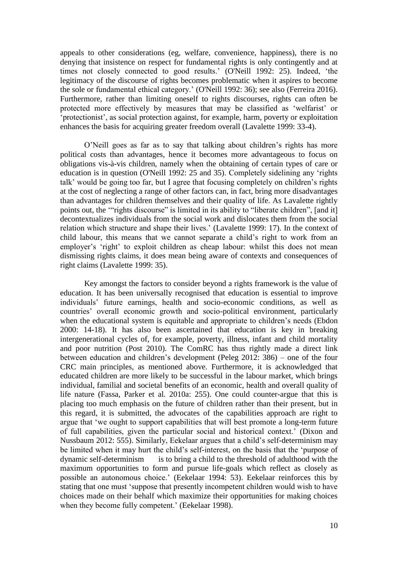appeals to other considerations (eg, welfare, convenience, happiness), there is no denying that insistence on respect for fundamental rights is only contingently and at times not closely connected to good results.' (O'Neill 1992: 25). Indeed, 'the legitimacy of the discourse of rights becomes problematic when it aspires to become the sole or fundamental ethical category.' (O'Neill 1992: 36); see also (Ferreira 2016). Furthermore, rather than limiting oneself to rights discourses, rights can often be protected more effectively by measures that may be classified as 'welfarist' or 'protectionist', as social protection against, for example, harm, poverty or exploitation enhances the basis for acquiring greater freedom overall (Lavalette 1999: 33-4).

O'Neill goes as far as to say that talking about children's rights has more political costs than advantages, hence it becomes more advantageous to focus on obligations vis-à-vis children, namely when the obtaining of certain types of care or education is in question (O'Neill 1992: 25 and 35). Completely sidelining any 'rights talk' would be going too far, but I agree that focusing completely on children's rights at the cost of neglecting a range of other factors can, in fact, bring more disadvantages than advantages for children themselves and their quality of life. As Lavalette rightly points out, the ""rights discourse" is limited in its ability to "liberate children", [and it] decontextualizes individuals from the social work and dislocates them from the social relation which structure and shape their lives.' (Lavalette 1999: 17). In the context of child labour, this means that we cannot separate a child's right to work from an employer's 'right' to exploit children as cheap labour: whilst this does not mean dismissing rights claims, it does mean being aware of contexts and consequences of right claims (Lavalette 1999: 35).

Key amongst the factors to consider beyond a rights framework is the value of education. It has been universally recognised that education is essential to improve individuals' future earnings, health and socio-economic conditions, as well as countries' overall economic growth and socio-political environment, particularly when the educational system is equitable and appropriate to children's needs (Ebdon 2000: 14-18). It has also been ascertained that education is key in breaking intergenerational cycles of, for example, poverty, illness, infant and child mortality and poor nutrition (Post 2010). The ComRC has thus rightly made a direct link between education and children's development (Peleg 2012: 386) – one of the four CRC main principles, as mentioned above. Furthermore, it is acknowledged that educated children are more likely to be successful in the labour market, which brings individual, familial and societal benefits of an economic, health and overall quality of life nature (Fassa, Parker et al. 2010a: 255). One could counter-argue that this is placing too much emphasis on the future of children rather than their present, but in this regard, it is submitted, the advocates of the capabilities approach are right to argue that 'we ought to support capabilities that will best promote a long-term future of full capabilities, given the particular social and historical context.' (Dixon and Nussbaum 2012: 555). Similarly, Eekelaar argues that a child's self-determinism may be limited when it may hurt the child's self-interest, on the basis that the 'purpose of dynamic self-determinism is to bring a child to the threshold of adulthood with the maximum opportunities to form and pursue life-goals which reflect as closely as possible an autonomous choice.' (Eekelaar 1994: 53). Eekelaar reinforces this by stating that one must 'suppose that presently incompetent children would wish to have choices made on their behalf which maximize their opportunities for making choices when they become fully competent.' (Eekelaar 1998).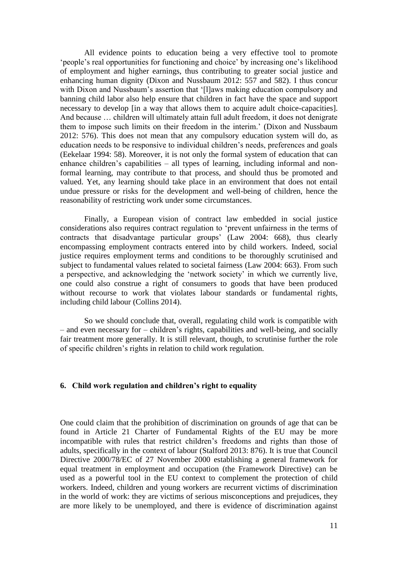All evidence points to education being a very effective tool to promote 'people's real opportunities for functioning and choice' by increasing one's likelihood of employment and higher earnings, thus contributing to greater social justice and enhancing human dignity (Dixon and Nussbaum 2012: 557 and 582). I thus concur with Dixon and Nussbaum's assertion that '[l]aws making education compulsory and banning child labor also help ensure that children in fact have the space and support necessary to develop [in a way that allows them to acquire adult choice-capacities]. And because … children will ultimately attain full adult freedom, it does not denigrate them to impose such limits on their freedom in the interim.' (Dixon and Nussbaum 2012: 576). This does not mean that any compulsory education system will do, as education needs to be responsive to individual children's needs, preferences and goals (Eekelaar 1994: 58). Moreover, it is not only the formal system of education that can enhance children's capabilities – all types of learning, including informal and nonformal learning, may contribute to that process, and should thus be promoted and valued. Yet, any learning should take place in an environment that does not entail undue pressure or risks for the development and well-being of children, hence the reasonability of restricting work under some circumstances.

Finally, a European vision of contract law embedded in social justice considerations also requires contract regulation to 'prevent unfairness in the terms of contracts that disadvantage particular groups' (Law 2004: 668), thus clearly encompassing employment contracts entered into by child workers. Indeed, social justice requires employment terms and conditions to be thoroughly scrutinised and subject to fundamental values related to societal fairness (Law 2004: 663). From such a perspective, and acknowledging the 'network society' in which we currently live, one could also construe a right of consumers to goods that have been produced without recourse to work that violates labour standards or fundamental rights, including child labour (Collins 2014).

So we should conclude that, overall, regulating child work is compatible with – and even necessary for – children's rights, capabilities and well-being, and socially fair treatment more generally. It is still relevant, though, to scrutinise further the role of specific children's rights in relation to child work regulation.

# **6. Child work regulation and children's right to equality**

One could claim that the prohibition of discrimination on grounds of age that can be found in Article 21 Charter of Fundamental Rights of the EU may be more incompatible with rules that restrict children's freedoms and rights than those of adults, specifically in the context of labour (Stalford 2013: 876). It is true that Council Directive 2000/78/EC of 27 November 2000 establishing a general framework for equal treatment in employment and occupation (the Framework Directive) can be used as a powerful tool in the EU context to complement the protection of child workers. Indeed, children and young workers are recurrent victims of discrimination in the world of work: they are victims of serious misconceptions and prejudices, they are more likely to be unemployed, and there is evidence of discrimination against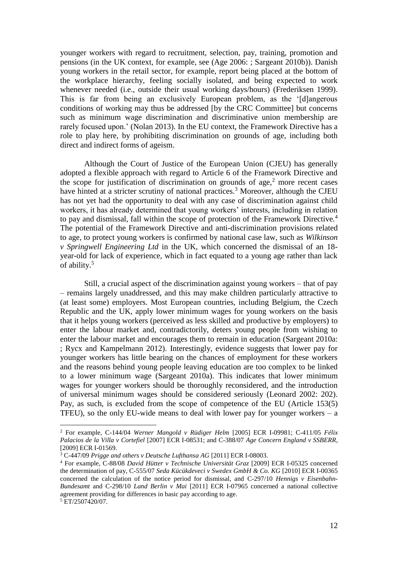younger workers with regard to recruitment, selection, pay, training, promotion and pensions (in the UK context, for example, see (Age 2006: ; Sargeant 2010b)). Danish young workers in the retail sector, for example, report being placed at the bottom of the workplace hierarchy, feeling socially isolated, and being expected to work whenever needed (i.e., outside their usual working days/hours) (Frederiksen 1999). This is far from being an exclusively European problem, as the '[d]angerous conditions of working may thus be addressed [by the CRC Committee] but concerns such as minimum wage discrimination and discriminative union membership are rarely focused upon.' (Nolan 2013). In the EU context, the Framework Directive has a role to play here, by prohibiting discrimination on grounds of age, including both direct and indirect forms of ageism.

Although the Court of Justice of the European Union (CJEU) has generally adopted a flexible approach with regard to Article 6 of the Framework Directive and the scope for justification of discrimination on grounds of age, $2$  more recent cases have hinted at a stricter scrutiny of national practices.<sup>3</sup> Moreover, although the CJEU has not yet had the opportunity to deal with any case of discrimination against child workers, it has already determined that young workers' interests, including in relation to pay and dismissal, fall within the scope of protection of the Framework Directive.<sup>4</sup> The potential of the Framework Directive and anti-discrimination provisions related to age, to protect young workers is confirmed by national case law, such as *Wilkinson v Springwell Engineering Ltd* in the UK, which concerned the dismissal of an 18 year-old for lack of experience, which in fact equated to a young age rather than lack of ability.<sup>5</sup>

Still, a crucial aspect of the discrimination against young workers – that of pay – remains largely unaddressed, and this may make children particularly attractive to (at least some) employers. Most European countries, including Belgium, the Czech Republic and the UK, apply lower minimum wages for young workers on the basis that it helps young workers (perceived as less skilled and productive by employers) to enter the labour market and, contradictorily, deters young people from wishing to enter the labour market and encourages them to remain in education (Sargeant 2010a: ; Rycx and Kampelmann 2012). Interestingly, evidence suggests that lower pay for younger workers has little bearing on the chances of employment for these workers and the reasons behind young people leaving education are too complex to be linked to a lower minimum wage (Sargeant 2010a). This indicates that lower minimum wages for younger workers should be thoroughly reconsidered, and the introduction of universal minimum wages should be considered seriously (Leonard 2002: 202). Pay, as such, is excluded from the scope of competence of the EU (Article 153(5) TFEU), so the only EU-wide means to deal with lower pay for younger workers  $-$  a

1

<sup>2</sup> For example, C-144/04 *Werner Mangold v Rüdiger Helm* [2005] ECR I-09981; C-411/05 *Félix Palacios de la Villa v Cortefiel* [2007] ECR I-08531; and C-388/07 *Age Concern England v SSBERR*, [2009] ECR I-01569.

<sup>3</sup> C-447/09 *Prigge and others v Deutsche Lufthansa AG* [2011] ECR I-08003.

<sup>4</sup> For example, C-88/08 *David Hütter v Technische Universität Graz* [2009] ECR I-05325 concerned the determination of pay, C-555/07 *Seda Kücükdeveci v Swedex GmbH & Co. KG* [2010] ECR I-00365 concerned the calculation of the notice period for dismissal, and C-297/10 *Hennigs v Eisenbahn-Bundesamt* and C-298/10 *Land Berlin v Mai* [2011] ECR I-07965 concerned a national collective agreement providing for differences in basic pay according to age.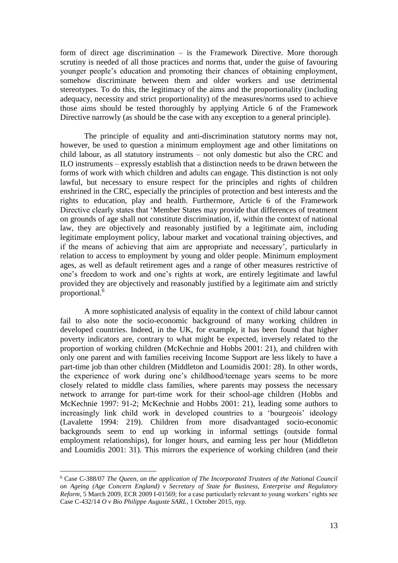form of direct age discrimination – is the Framework Directive. More thorough scrutiny is needed of all those practices and norms that, under the guise of favouring younger people's education and promoting their chances of obtaining employment, somehow discriminate between them and older workers and use detrimental stereotypes. To do this, the legitimacy of the aims and the proportionality (including adequacy, necessity and strict proportionality) of the measures/norms used to achieve those aims should be tested thoroughly by applying Article 6 of the Framework Directive narrowly (as should be the case with any exception to a general principle).

The principle of equality and anti-discrimination statutory norms may not, however, be used to question a minimum employment age and other limitations on child labour, as all statutory instruments – not only domestic but also the CRC and ILO instruments – expressly establish that a distinction needs to be drawn between the forms of work with which children and adults can engage. This distinction is not only lawful, but necessary to ensure respect for the principles and rights of children enshrined in the CRC, especially the principles of protection and best interests and the rights to education, play and health. Furthermore, Article 6 of the Framework Directive clearly states that 'Member States may provide that differences of treatment on grounds of age shall not constitute discrimination, if, within the context of national law, they are objectively and reasonably justified by a legitimate aim, including legitimate employment policy, labour market and vocational training objectives, and if the means of achieving that aim are appropriate and necessary', particularly in relation to access to employment by young and older people. Minimum employment ages, as well as default retirement ages and a range of other measures restrictive of one's freedom to work and one's rights at work, are entirely legitimate and lawful provided they are objectively and reasonably justified by a legitimate aim and strictly proportional.<sup>6</sup>

A more sophisticated analysis of equality in the context of child labour cannot fail to also note the socio-economic background of many working children in developed countries. Indeed, in the UK, for example, it has been found that higher poverty indicators are, contrary to what might be expected, inversely related to the proportion of working children (McKechnie and Hobbs 2001: 21), and children with only one parent and with families receiving Income Support are less likely to have a part-time job than other children (Middleton and Loumidis 2001: 28). In other words, the experience of work during one's childhood/teenage years seems to be more closely related to middle class families, where parents may possess the necessary network to arrange for part-time work for their school-age children (Hobbs and McKechnie 1997: 91-2; McKechnie and Hobbs 2001: 21), leading some authors to increasingly link child work in developed countries to a 'bourgeois' ideology (Lavalette 1994: 219). Children from more disadvantaged socio-economic backgrounds seem to end up working in informal settings (outside formal employment relationships), for longer hours, and earning less per hour (Middleton and Loumidis 2001: 31). This mirrors the experience of working children (and their

<u>.</u>

<sup>6</sup> Case C-388/07 *The Queen, on the application of The Incorporated Trustees of the National Council on Ageing (Age Concern England) v Secretary of State for Business, Enterprise and Regulatory Reform*, 5 March 2009, ECR 2009 I-01569; for a case particularly relevant to young workers' rights see Case C-432/14 *O v Bio Philippe Auguste SARL*, 1 October 2015, nyp.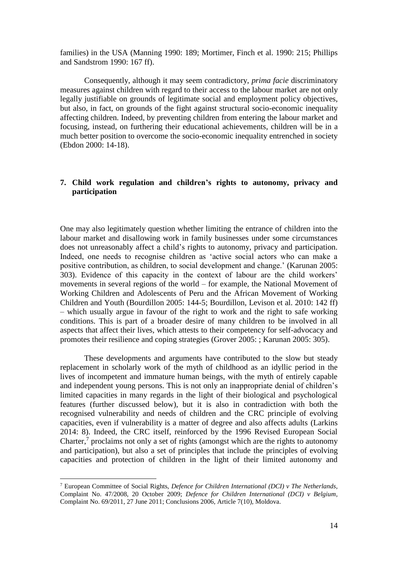families) in the USA (Manning 1990: 189; Mortimer, Finch et al. 1990: 215; Phillips and Sandstrom 1990: 167 ff).

Consequently, although it may seem contradictory, *prima facie* discriminatory measures against children with regard to their access to the labour market are not only legally justifiable on grounds of legitimate social and employment policy objectives, but also, in fact, on grounds of the fight against structural socio-economic inequality affecting children. Indeed, by preventing children from entering the labour market and focusing, instead, on furthering their educational achievements, children will be in a much better position to overcome the socio-economic inequality entrenched in society (Ebdon 2000: 14-18).

# **7. Child work regulation and children's rights to autonomy, privacy and participation**

One may also legitimately question whether limiting the entrance of children into the labour market and disallowing work in family businesses under some circumstances does not unreasonably affect a child's rights to autonomy, privacy and participation. Indeed, one needs to recognise children as 'active social actors who can make a positive contribution, as children, to social development and change.' (Karunan 2005: 303). Evidence of this capacity in the context of labour are the child workers' movements in several regions of the world – for example, the National Movement of Working Children and Adolescents of Peru and the African Movement of Working Children and Youth (Bourdillon 2005: 144-5; Bourdillon, Levison et al. 2010: 142 ff) – which usually argue in favour of the right to work and the right to safe working conditions. This is part of a broader desire of many children to be involved in all aspects that affect their lives, which attests to their competency for self-advocacy and promotes their resilience and coping strategies (Grover 2005: ; Karunan 2005: 305).

These developments and arguments have contributed to the slow but steady replacement in scholarly work of the myth of childhood as an idyllic period in the lives of incompetent and immature human beings, with the myth of entirely capable and independent young persons. This is not only an inappropriate denial of children's limited capacities in many regards in the light of their biological and psychological features (further discussed below), but it is also in contradiction with both the recognised vulnerability and needs of children and the CRC principle of evolving capacities, even if vulnerability is a matter of degree and also affects adults (Larkins 2014: 8). Indeed, the CRC itself, reinforced by the 1996 Revised European Social Charter, $\frac{7}{7}$  proclaims not only a set of rights (amongst which are the rights to autonomy and participation), but also a set of principles that include the principles of evolving capacities and protection of children in the light of their limited autonomy and

1

<sup>7</sup> European Committee of Social Rights, *Defence for Children International (DCI) v The Netherlands*, Complaint No. 47/2008, 20 October 2009; *Defence for Children International (DCI) v Belgium*, Complaint No. 69/2011, 27 June 2011; Conclusions 2006, Article 7(10), Moldova.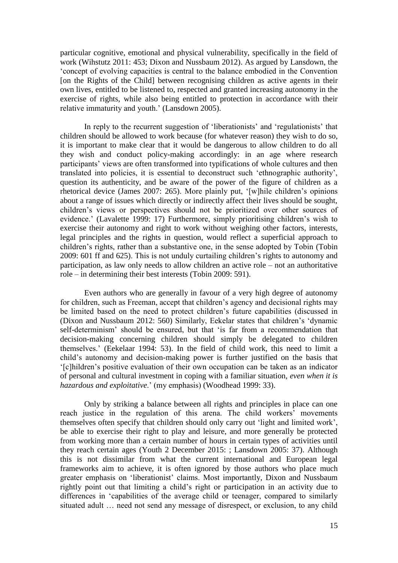particular cognitive, emotional and physical vulnerability, specifically in the field of work (Wihstutz 2011: 453; Dixon and Nussbaum 2012). As argued by Lansdown, the 'concept of evolving capacities is central to the balance embodied in the Convention [on the Rights of the Child] between recognising children as active agents in their own lives, entitled to be listened to, respected and granted increasing autonomy in the exercise of rights, while also being entitled to protection in accordance with their relative immaturity and youth.' (Lansdown 2005).

In reply to the recurrent suggestion of 'liberationists' and 'regulationists' that children should be allowed to work because (for whatever reason) they wish to do so, it is important to make clear that it would be dangerous to allow children to do all they wish and conduct policy-making accordingly: in an age where research participants' views are often transformed into typifications of whole cultures and then translated into policies, it is essential to deconstruct such 'ethnographic authority', question its authenticity, and be aware of the power of the figure of children as a rhetorical device (James 2007: 265). More plainly put, '[w]hile children's opinions about a range of issues which directly or indirectly affect their lives should be sought, children's views or perspectives should not be prioritized over other sources of evidence.' (Lavalette 1999: 17) Furthermore, simply prioritising children's wish to exercise their autonomy and right to work without weighing other factors, interests, legal principles and the rights in question, would reflect a superficial approach to children's rights, rather than a substantive one, in the sense adopted by Tobin (Tobin 2009: 601 ff and 625). This is not unduly curtailing children's rights to autonomy and participation, as law only needs to allow children an active role – not an authoritative role – in determining their best interests (Tobin 2009: 591).

Even authors who are generally in favour of a very high degree of autonomy for children, such as Freeman, accept that children's agency and decisional rights may be limited based on the need to protect children's future capabilities (discussed in (Dixon and Nussbaum 2012: 560) Similarly, Eekelar states that children's 'dynamic self-determinism' should be ensured, but that 'is far from a recommendation that decision-making concerning children should simply be delegated to children themselves.' (Eekelaar 1994: 53). In the field of child work, this need to limit a child's autonomy and decision-making power is further justified on the basis that '[c]hildren's positive evaluation of their own occupation can be taken as an indicator of personal and cultural investment in coping with a familiar situation, *even when it is hazardous and exploitative*.' (my emphasis) (Woodhead 1999: 33).

Only by striking a balance between all rights and principles in place can one reach justice in the regulation of this arena. The child workers' movements themselves often specify that children should only carry out 'light and limited work', be able to exercise their right to play and leisure, and more generally be protected from working more than a certain number of hours in certain types of activities until they reach certain ages (Youth 2 December 2015: ; Lansdown 2005: 37). Although this is not dissimilar from what the current international and European legal frameworks aim to achieve, it is often ignored by those authors who place much greater emphasis on 'liberationist' claims. Most importantly, Dixon and Nussbaum rightly point out that limiting a child's right or participation in an activity due to differences in 'capabilities of the average child or teenager, compared to similarly situated adult … need not send any message of disrespect, or exclusion, to any child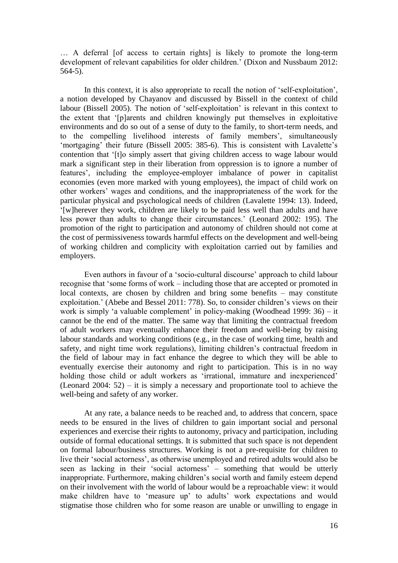… A deferral [of access to certain rights] is likely to promote the long-term development of relevant capabilities for older children.' (Dixon and Nussbaum 2012: 564-5).

In this context, it is also appropriate to recall the notion of 'self-exploitation', a notion developed by Chayanov and discussed by Bissell in the context of child labour (Bissell 2005). The notion of 'self-exploitation' is relevant in this context to the extent that '[p]arents and children knowingly put themselves in exploitative environments and do so out of a sense of duty to the family, to short-term needs, and to the compelling livelihood interests of family members', simultaneously 'mortgaging' their future (Bissell 2005: 385-6). This is consistent with Lavalette's contention that '[t]o simply assert that giving children access to wage labour would mark a significant step in their liberation from oppression is to ignore a number of features', including the employee-employer imbalance of power in capitalist economies (even more marked with young employees), the impact of child work on other workers' wages and conditions, and the inappropriateness of the work for the particular physical and psychological needs of children (Lavalette 1994: 13). Indeed, '[w]herever they work, children are likely to be paid less well than adults and have less power than adults to change their circumstances.' (Leonard 2002: 195). The promotion of the right to participation and autonomy of children should not come at the cost of permissiveness towards harmful effects on the development and well-being of working children and complicity with exploitation carried out by families and employers.

Even authors in favour of a 'socio-cultural discourse' approach to child labour recognise that 'some forms of work – including those that are accepted or promoted in local contexts, are chosen by children and bring some benefits – may constitute exploitation.' (Abebe and Bessel 2011: 778). So, to consider children's views on their work is simply 'a valuable complement' in policy-making (Woodhead 1999: 36) – it cannot be the end of the matter. The same way that limiting the contractual freedom of adult workers may eventually enhance their freedom and well-being by raising labour standards and working conditions (e.g., in the case of working time, health and safety, and night time work regulations), limiting children's contractual freedom in the field of labour may in fact enhance the degree to which they will be able to eventually exercise their autonomy and right to participation. This is in no way holding those child or adult workers as 'irrational, immature and inexperienced' (Leonard 2004: 52) – it is simply a necessary and proportionate tool to achieve the well-being and safety of any worker.

At any rate, a balance needs to be reached and, to address that concern, space needs to be ensured in the lives of children to gain important social and personal experiences and exercise their rights to autonomy, privacy and participation, including outside of formal educational settings. It is submitted that such space is not dependent on formal labour/business structures. Working is not a pre-requisite for children to live their 'social actorness', as otherwise unemployed and retired adults would also be seen as lacking in their 'social actorness' – something that would be utterly inappropriate. Furthermore, making children's social worth and family esteem depend on their involvement with the world of labour would be a reproachable view: it would make children have to 'measure up' to adults' work expectations and would stigmatise those children who for some reason are unable or unwilling to engage in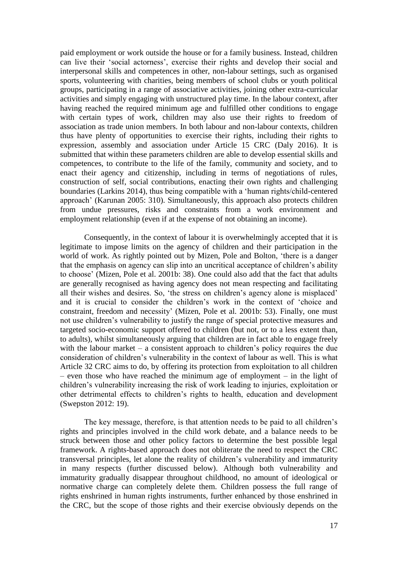paid employment or work outside the house or for a family business. Instead, children can live their 'social actorness', exercise their rights and develop their social and interpersonal skills and competences in other, non-labour settings, such as organised sports, volunteering with charities, being members of school clubs or youth political groups, participating in a range of associative activities, joining other extra-curricular activities and simply engaging with unstructured play time. In the labour context, after having reached the required minimum age and fulfilled other conditions to engage with certain types of work, children may also use their rights to freedom of association as trade union members. In both labour and non-labour contexts, children thus have plenty of opportunities to exercise their rights, including their rights to expression, assembly and association under Article 15 CRC (Daly 2016). It is submitted that within these parameters children are able to develop essential skills and competences, to contribute to the life of the family, community and society, and to enact their agency and citizenship, including in terms of negotiations of rules, construction of self, social contributions, enacting their own rights and challenging boundaries (Larkins 2014), thus being compatible with a 'human rights/child-centered approach' (Karunan 2005: 310). Simultaneously, this approach also protects children from undue pressures, risks and constraints from a work environment and employment relationship (even if at the expense of not obtaining an income).

Consequently, in the context of labour it is overwhelmingly accepted that it is legitimate to impose limits on the agency of children and their participation in the world of work. As rightly pointed out by Mizen, Pole and Bolton, 'there is a danger that the emphasis on agency can slip into an uncritical acceptance of children's ability to choose' (Mizen, Pole et al. 2001b: 38). One could also add that the fact that adults are generally recognised as having agency does not mean respecting and facilitating all their wishes and desires. So, 'the stress on children's agency alone is misplaced' and it is crucial to consider the children's work in the context of 'choice and constraint, freedom and necessity' (Mizen, Pole et al. 2001b: 53). Finally, one must not use children's vulnerability to justify the range of special protective measures and targeted socio-economic support offered to children (but not, or to a less extent than, to adults), whilst simultaneously arguing that children are in fact able to engage freely with the labour market – a consistent approach to children's policy requires the due consideration of children's vulnerability in the context of labour as well. This is what Article 32 CRC aims to do, by offering its protection from exploitation to all children – even those who have reached the minimum age of employment – in the light of children's vulnerability increasing the risk of work leading to injuries, exploitation or other detrimental effects to children's rights to health, education and development (Swepston 2012: 19).

The key message, therefore, is that attention needs to be paid to all children's rights and principles involved in the child work debate, and a balance needs to be struck between those and other policy factors to determine the best possible legal framework. A rights-based approach does not obliterate the need to respect the CRC transversal principles, let alone the reality of children's vulnerability and immaturity in many respects (further discussed below). Although both vulnerability and immaturity gradually disappear throughout childhood, no amount of ideological or normative charge can completely delete them. Children possess the full range of rights enshrined in human rights instruments, further enhanced by those enshrined in the CRC, but the scope of those rights and their exercise obviously depends on the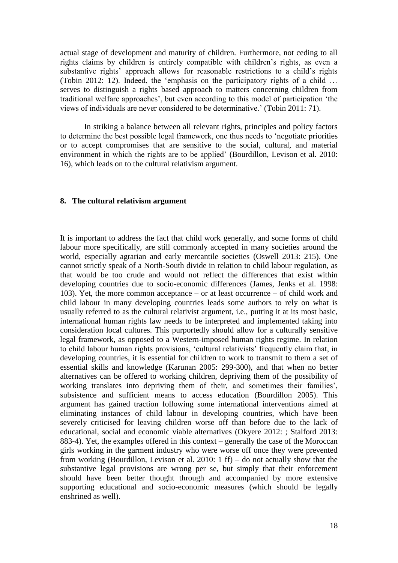actual stage of development and maturity of children. Furthermore, not ceding to all rights claims by children is entirely compatible with children's rights, as even a substantive rights' approach allows for reasonable restrictions to a child's rights (Tobin 2012: 12). Indeed, the 'emphasis on the participatory rights of a child … serves to distinguish a rights based approach to matters concerning children from traditional welfare approaches', but even according to this model of participation 'the views of individuals are never considered to be determinative.' (Tobin 2011: 71).

In striking a balance between all relevant rights, principles and policy factors to determine the best possible legal framework, one thus needs to 'negotiate priorities or to accept compromises that are sensitive to the social, cultural, and material environment in which the rights are to be applied' (Bourdillon, Levison et al. 2010: 16), which leads on to the cultural relativism argument.

# **8. The cultural relativism argument**

It is important to address the fact that child work generally, and some forms of child labour more specifically, are still commonly accepted in many societies around the world, especially agrarian and early mercantile societies (Oswell 2013: 215). One cannot strictly speak of a North-South divide in relation to child labour regulation, as that would be too crude and would not reflect the differences that exist within developing countries due to socio-economic differences (James, Jenks et al. 1998: 103). Yet, the more common acceptance – or at least occurrence – of child work and child labour in many developing countries leads some authors to rely on what is usually referred to as the cultural relativist argument, i.e., putting it at its most basic, international human rights law needs to be interpreted and implemented taking into consideration local cultures. This purportedly should allow for a culturally sensitive legal framework, as opposed to a Western-imposed human rights regime. In relation to child labour human rights provisions, 'cultural relativists' frequently claim that, in developing countries, it is essential for children to work to transmit to them a set of essential skills and knowledge (Karunan 2005: 299-300), and that when no better alternatives can be offered to working children, depriving them of the possibility of working translates into depriving them of their, and sometimes their families', subsistence and sufficient means to access education (Bourdillon 2005). This argument has gained traction following some international interventions aimed at eliminating instances of child labour in developing countries, which have been severely criticised for leaving children worse off than before due to the lack of educational, social and economic viable alternatives (Okyere 2012: ; Stalford 2013: 883-4). Yet, the examples offered in this context – generally the case of the Moroccan girls working in the garment industry who were worse off once they were prevented from working (Bourdillon, Levison et al. 2010: 1 ff) – do not actually show that the substantive legal provisions are wrong per se, but simply that their enforcement should have been better thought through and accompanied by more extensive supporting educational and socio-economic measures (which should be legally enshrined as well).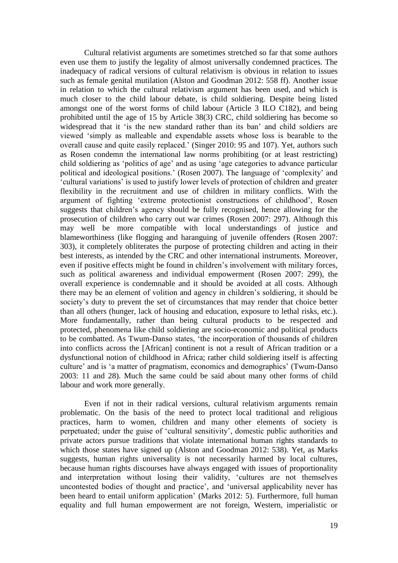Cultural relativist arguments are sometimes stretched so far that some authors even use them to justify the legality of almost universally condemned practices. The inadequacy of radical versions of cultural relativism is obvious in relation to issues such as female genital mutilation (Alston and Goodman 2012: 558 ff). Another issue in relation to which the cultural relativism argument has been used, and which is much closer to the child labour debate, is child soldiering. Despite being listed amongst one of the worst forms of child labour (Article 3 ILO C182), and being prohibited until the age of 15 by Article 38(3) CRC, child soldiering has become so widespread that it 'is the new standard rather than its ban' and child soldiers are viewed 'simply as malleable and expendable assets whose loss is bearable to the overall cause and quite easily replaced.' (Singer 2010: 95 and 107). Yet, authors such as Rosen condemn the international law norms prohibiting (or at least restricting) child soldiering as 'politics of age' and as using 'age categories to advance particular political and ideological positions.' (Rosen 2007). The language of 'complexity' and 'cultural variations' is used to justify lower levels of protection of children and greater flexibility in the recruitment and use of children in military conflicts. With the argument of fighting 'extreme protectionist constructions of childhood', Rosen suggests that children's agency should be fully recognised, hence allowing for the prosecution of children who carry out war crimes (Rosen 2007: 297). Although this may well be more compatible with local understandings of justice and blameworthiness (like flogging and haranguing of juvenile offenders (Rosen 2007: 303), it completely obliterates the purpose of protecting children and acting in their best interests, as intended by the CRC and other international instruments. Moreover, even if positive effects might be found in children's involvement with military forces, such as political awareness and individual empowerment (Rosen 2007: 299), the overall experience is condemnable and it should be avoided at all costs. Although there may be an element of volition and agency in children's soldiering, it should be society's duty to prevent the set of circumstances that may render that choice better than all others (hunger, lack of housing and education, exposure to lethal risks, etc.). More fundamentally, rather than being cultural products to be respected and protected, phenomena like child soldiering are socio-economic and political products to be combatted. As Twum-Danso states, 'the incorporation of thousands of children into conflicts across the [African] continent is not a result of African tradition or a dysfunctional notion of childhood in Africa; rather child soldiering itself is affecting culture' and is 'a matter of pragmatism, economics and demographics' (Twum-Danso 2003: 11 and 28). Much the same could be said about many other forms of child labour and work more generally.

Even if not in their radical versions, cultural relativism arguments remain problematic. On the basis of the need to protect local traditional and religious practices, harm to women, children and many other elements of society is perpetuated; under the guise of 'cultural sensitivity', domestic public authorities and private actors pursue traditions that violate international human rights standards to which those states have signed up (Alston and Goodman 2012: 538). Yet, as Marks suggests, human rights universality is not necessarily harmed by local cultures, because human rights discourses have always engaged with issues of proportionality and interpretation without losing their validity, 'cultures are not themselves uncontested bodies of thought and practice', and 'universal applicability never has been heard to entail uniform application' (Marks 2012: 5). Furthermore, full human equality and full human empowerment are not foreign, Western, imperialistic or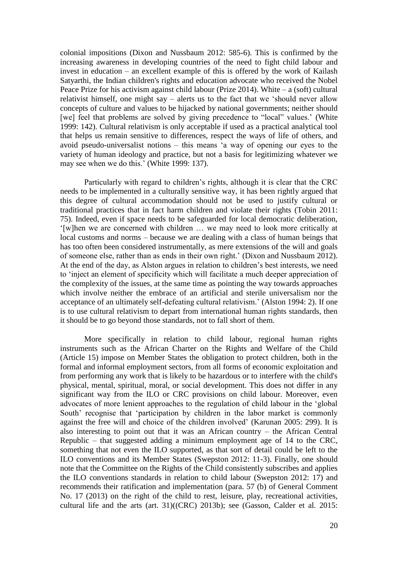colonial impositions (Dixon and Nussbaum 2012: 585-6). This is confirmed by the increasing awareness in developing countries of the need to fight child labour and invest in education – an excellent example of this is offered by the work of Kailash Satyarthi, the Indian children's rights and education advocate who received the Nobel Peace Prize for his activism against child labour (Prize 2014). White  $-$  a (soft) cultural relativist himself, one might say – alerts us to the fact that we 'should never allow concepts of culture and values to be hijacked by national governments; neither should [we] feel that problems are solved by giving precedence to "local" values.' (White 1999: 142). Cultural relativism is only acceptable if used as a practical analytical tool that helps us remain sensitive to differences, respect the ways of life of others, and avoid pseudo-universalist notions – this means 'a way of opening our eyes to the variety of human ideology and practice, but not a basis for legitimizing whatever we may see when we do this.' (White 1999: 137).

Particularly with regard to children's rights, although it is clear that the CRC needs to be implemented in a culturally sensitive way, it has been rightly argued that this degree of cultural accommodation should not be used to justify cultural or traditional practices that in fact harm children and violate their rights (Tobin 2011: 75). Indeed, even if space needs to be safeguarded for local democratic deliberation, '[w]hen we are concerned with children … we may need to look more critically at local customs and norms – because we are dealing with a class of human beings that has too often been considered instrumentally, as mere extensions of the will and goals of someone else, rather than as ends in their own right.' (Dixon and Nussbaum 2012). At the end of the day, as Alston argues in relation to children's best interests, we need to 'inject an element of specificity which will facilitate a much deeper appreciation of the complexity of the issues, at the same time as pointing the way towards approaches which involve neither the embrace of an artificial and sterile universalism nor the acceptance of an ultimately self-defeating cultural relativism.' (Alston 1994: 2). If one is to use cultural relativism to depart from international human rights standards, then it should be to go beyond those standards, not to fall short of them.

More specifically in relation to child labour, regional human rights instruments such as the African Charter on the Rights and Welfare of the Child (Article 15) impose on Member States the obligation to protect children, both in the formal and informal employment sectors, from all forms of economic exploitation and from performing any work that is likely to be hazardous or to interfere with the child's physical, mental, spiritual, moral, or social development. This does not differ in any significant way from the ILO or CRC provisions on child labour. Moreover, even advocates of more lenient approaches to the regulation of child labour in the 'global South' recognise that 'participation by children in the labor market is commonly against the free will and choice of the children involved' (Karunan 2005: 299). It is also interesting to point out that it was an African country – the African Central Republic – that suggested adding a minimum employment age of 14 to the CRC, something that not even the ILO supported, as that sort of detail could be left to the ILO conventions and its Member States (Swepston 2012: 11-3). Finally, one should note that the Committee on the Rights of the Child consistently subscribes and applies the ILO conventions standards in relation to child labour (Swepston 2012: 17) and recommends their ratification and implementation (para. 57 (b) of General Comment No. 17 (2013) on the right of the child to rest, leisure, play, recreational activities, cultural life and the arts (art. 31)((CRC) 2013b); see (Gasson, Calder et al. 2015: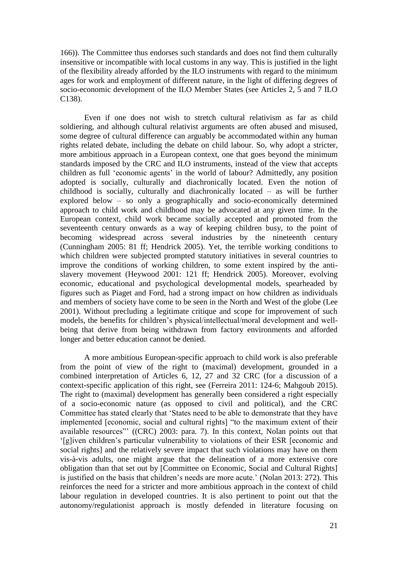166)). The Committee thus endorses such standards and does not find them culturally insensitive or incompatible with local customs in any way. This is justified in the light of the flexibility already afforded by the ILO instruments with regard to the minimum ages for work and employment of different nature, in the light of differing degrees of socio-economic development of the ILO Member States (see Articles 2, 5 and 7 ILO C138).

Even if one does not wish to stretch cultural relativism as far as child soldiering, and although cultural relativist arguments are often abused and misused, some degree of cultural difference can arguably be accommodated within any human rights related debate, including the debate on child labour. So, why adopt a stricter, more ambitious approach in a European context, one that goes beyond the minimum standards imposed by the CRC and ILO instruments, instead of the view that accepts children as full 'economic agents' in the world of labour? Admittedly, any position adopted is socially, culturally and diachronically located. Even the notion of childhood is socially, culturally and diachronically located – as will be further explored below – so only a geographically and socio-economically determined approach to child work and childhood may be advocated at any given time. In the European context, child work became socially accepted and promoted from the seventeenth century onwards as a way of keeping children busy, to the point of becoming widespread across several industries by the nineteenth century (Cunningham 2005: 81 ff; Hendrick 2005). Yet, the terrible working conditions to which children were subjected prompted statutory initiatives in several countries to improve the conditions of working children, to some extent inspired by the antislavery movement (Heywood 2001: 121 ff; Hendrick 2005). Moreover, evolving economic, educational and psychological developmental models, spearheaded by figures such as Piaget and Ford, had a strong impact on how children as individuals and members of society have come to be seen in the North and West of the globe (Lee 2001). Without precluding a legitimate critique and scope for improvement of such models, the benefits for children's physical/intellectual/moral development and wellbeing that derive from being withdrawn from factory environments and afforded longer and better education cannot be denied.

A more ambitious European-specific approach to child work is also preferable from the point of view of the right to (maximal) development, grounded in a combined interpretation of Articles 6, 12, 27 and 32 CRC (for a discussion of a context-specific application of this right, see (Ferreira 2011: 124-6; Mahgoub 2015). The right to (maximal) development has generally been considered a right especially of a socio-economic nature (as opposed to civil and political), and the CRC Committee has stated clearly that 'States need to be able to demonstrate that they have implemented [economic, social and cultural rights] "to the maximum extent of their available resources"' ((CRC) 2003: para. 7). In this context, Nolan points out that '[g]iven children's particular vulnerability to violations of their ESR [economic and social rights] and the relatively severe impact that such violations may have on them vis-à-vis adults, one might argue that the delineation of a more extensive core obligation than that set out by [Committee on Economic, Social and Cultural Rights] is justified on the basis that children's needs are more acute.' (Nolan 2013: 272). This reinforces the need for a stricter and more ambitious approach in the context of child labour regulation in developed countries. It is also pertinent to point out that the autonomy/regulationist approach is mostly defended in literature focusing on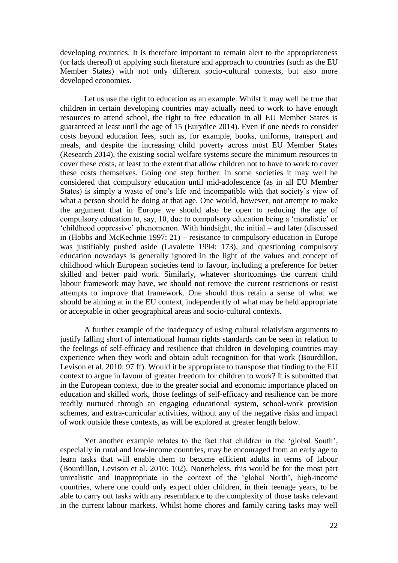developing countries. It is therefore important to remain alert to the appropriateness (or lack thereof) of applying such literature and approach to countries (such as the EU Member States) with not only different socio-cultural contexts, but also more developed economies.

Let us use the right to education as an example. Whilst it may well be true that children in certain developing countries may actually need to work to have enough resources to attend school, the right to free education in all EU Member States is guaranteed at least until the age of 15 (Eurydice 2014). Even if one needs to consider costs beyond education fees, such as, for example, books, uniforms, transport and meals, and despite the increasing child poverty across most EU Member States (Research 2014), the existing social welfare systems secure the minimum resources to cover these costs, at least to the extent that allow children not to have to work to cover these costs themselves. Going one step further: in some societies it may well be considered that compulsory education until mid-adolescence (as in all EU Member States) is simply a waste of one's life and incompatible with that society's view of what a person should be doing at that age. One would, however, not attempt to make the argument that in Europe we should also be open to reducing the age of compulsory education to, say, 10, due to compulsory education being a 'moralistic' or 'childhood oppressive' phenomenon. With hindsight, the initial – and later (discussed in (Hobbs and McKechnie 1997: 21) – resistance to compulsory education in Europe was justifiably pushed aside (Lavalette 1994: 173), and questioning compulsory education nowadays is generally ignored in the light of the values and concept of childhood which European societies tend to favour, including a preference for better skilled and better paid work. Similarly, whatever shortcomings the current child labour framework may have, we should not remove the current restrictions or resist attempts to improve that framework. One should thus retain a sense of what we should be aiming at in the EU context, independently of what may be held appropriate or acceptable in other geographical areas and socio-cultural contexts.

A further example of the inadequacy of using cultural relativism arguments to justify falling short of international human rights standards can be seen in relation to the feelings of self-efficacy and resilience that children in developing countries may experience when they work and obtain adult recognition for that work (Bourdillon, Levison et al. 2010: 97 ff). Would it be appropriate to transpose that finding to the EU context to argue in favour of greater freedom for children to work? It is submitted that in the European context, due to the greater social and economic importance placed on education and skilled work, those feelings of self-efficacy and resilience can be more readily nurtured through an engaging educational system, school-work provision schemes, and extra-curricular activities, without any of the negative risks and impact of work outside these contexts, as will be explored at greater length below.

Yet another example relates to the fact that children in the 'global South', especially in rural and low-income countries, may be encouraged from an early age to learn tasks that will enable them to become efficient adults in terms of labour (Bourdillon, Levison et al. 2010: 102). Nonetheless, this would be for the most part unrealistic and inappropriate in the context of the 'global North', high-income countries, where one could only expect older children, in their teenage years, to be able to carry out tasks with any resemblance to the complexity of those tasks relevant in the current labour markets. Whilst home chores and family caring tasks may well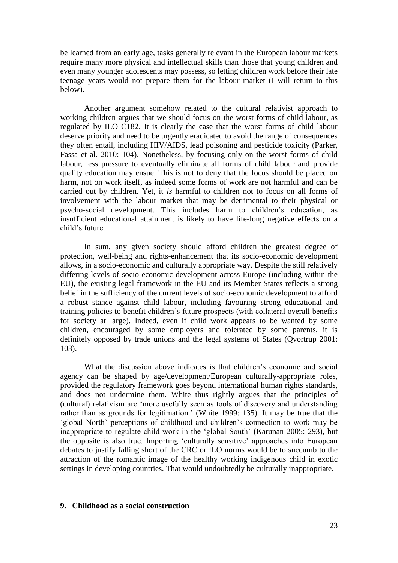be learned from an early age, tasks generally relevant in the European labour markets require many more physical and intellectual skills than those that young children and even many younger adolescents may possess, so letting children work before their late teenage years would not prepare them for the labour market (I will return to this below).

Another argument somehow related to the cultural relativist approach to working children argues that we should focus on the worst forms of child labour, as regulated by ILO C182. It is clearly the case that the worst forms of child labour deserve priority and need to be urgently eradicated to avoid the range of consequences they often entail, including HIV/AIDS, lead poisoning and pesticide toxicity (Parker, Fassa et al. 2010: 104). Nonetheless, by focusing only on the worst forms of child labour, less pressure to eventually eliminate all forms of child labour and provide quality education may ensue. This is not to deny that the focus should be placed on harm, not on work itself, as indeed some forms of work are not harmful and can be carried out by children. Yet, it *is* harmful to children not to focus on all forms of involvement with the labour market that may be detrimental to their physical or psycho-social development. This includes harm to children's education, as insufficient educational attainment is likely to have life-long negative effects on a child's future.

In sum, any given society should afford children the greatest degree of protection, well-being and rights-enhancement that its socio-economic development allows, in a socio-economic and culturally appropriate way. Despite the still relatively differing levels of socio-economic development across Europe (including within the EU), the existing legal framework in the EU and its Member States reflects a strong belief in the sufficiency of the current levels of socio-economic development to afford a robust stance against child labour, including favouring strong educational and training policies to benefit children's future prospects (with collateral overall benefits for society at large). Indeed, even if child work appears to be wanted by some children, encouraged by some employers and tolerated by some parents, it is definitely opposed by trade unions and the legal systems of States (Qvortrup 2001: 103).

What the discussion above indicates is that children's economic and social agency can be shaped by age/development/European culturally-appropriate roles, provided the regulatory framework goes beyond international human rights standards, and does not undermine them. White thus rightly argues that the principles of (cultural) relativism are 'more usefully seen as tools of discovery and understanding rather than as grounds for legitimation.' (White 1999: 135). It may be true that the 'global North' perceptions of childhood and children's connection to work may be inappropriate to regulate child work in the 'global South' (Karunan 2005: 293), but the opposite is also true. Importing 'culturally sensitive' approaches into European debates to justify falling short of the CRC or ILO norms would be to succumb to the attraction of the romantic image of the healthy working indigenous child in exotic settings in developing countries. That would undoubtedly be culturally inappropriate.

# **9. Childhood as a social construction**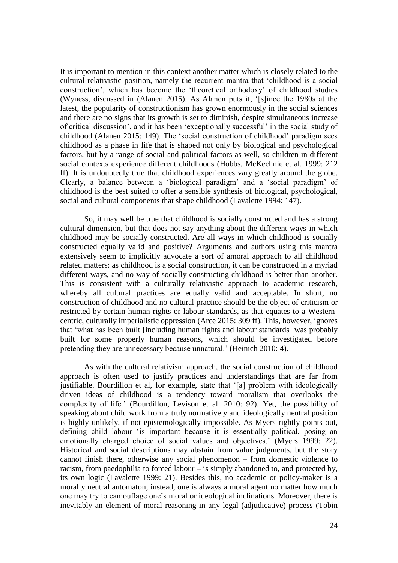It is important to mention in this context another matter which is closely related to the cultural relativistic position, namely the recurrent mantra that 'childhood is a social construction', which has become the 'theoretical orthodoxy' of childhood studies (Wyness, discussed in (Alanen 2015). As Alanen puts it, '[s]ince the 1980s at the latest, the popularity of constructionism has grown enormously in the social sciences and there are no signs that its growth is set to diminish, despite simultaneous increase of critical discussion', and it has been 'exceptionally successful' in the social study of childhood (Alanen 2015: 149). The 'social construction of childhood' paradigm sees childhood as a phase in life that is shaped not only by biological and psychological factors, but by a range of social and political factors as well, so children in different social contexts experience different childhoods (Hobbs, McKechnie et al. 1999: 212 ff). It is undoubtedly true that childhood experiences vary greatly around the globe. Clearly, a balance between a 'biological paradigm' and a 'social paradigm' of childhood is the best suited to offer a sensible synthesis of biological, psychological, social and cultural components that shape childhood (Lavalette 1994: 147).

So, it may well be true that childhood is socially constructed and has a strong cultural dimension, but that does not say anything about the different ways in which childhood may be socially constructed. Are all ways in which childhood is socially constructed equally valid and positive? Arguments and authors using this mantra extensively seem to implicitly advocate a sort of amoral approach to all childhood related matters: as childhood is a social construction, it can be constructed in a myriad different ways, and no way of socially constructing childhood is better than another. This is consistent with a culturally relativistic approach to academic research, whereby all cultural practices are equally valid and acceptable. In short, no construction of childhood and no cultural practice should be the object of criticism or restricted by certain human rights or labour standards, as that equates to a Westerncentric, culturally imperialistic oppression (Arce 2015: 309 ff). This, however, ignores that 'what has been built [including human rights and labour standards] was probably built for some properly human reasons, which should be investigated before pretending they are unnecessary because unnatural.' (Heinich 2010: 4).

As with the cultural relativism approach, the social construction of childhood approach is often used to justify practices and understandings that are far from justifiable. Bourdillon et al, for example, state that '[a] problem with ideologically driven ideas of childhood is a tendency toward moralism that overlooks the complexity of life.' (Bourdillon, Levison et al. 2010: 92). Yet, the possibility of speaking about child work from a truly normatively and ideologically neutral position is highly unlikely, if not epistemologically impossible. As Myers rightly points out, defining child labour 'is important because it is essentially political, posing an emotionally charged choice of social values and objectives.' (Myers 1999: 22). Historical and social descriptions may abstain from value judgments, but the story cannot finish there, otherwise any social phenomenon – from domestic violence to racism, from paedophilia to forced labour – is simply abandoned to, and protected by, its own logic (Lavalette 1999: 21). Besides this, no academic or policy-maker is a morally neutral automaton; instead, one is always a moral agent no matter how much one may try to camouflage one's moral or ideological inclinations. Moreover, there is inevitably an element of moral reasoning in any legal (adjudicative) process (Tobin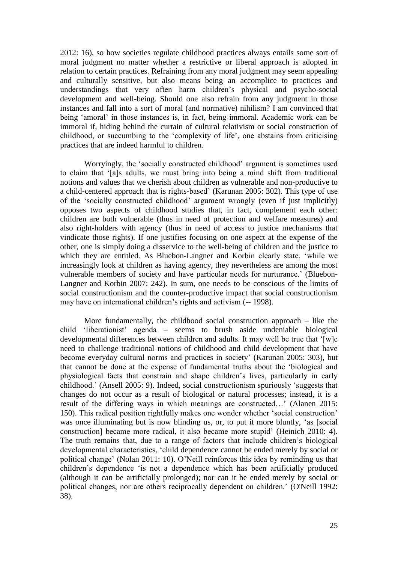2012: 16), so how societies regulate childhood practices always entails some sort of moral judgment no matter whether a restrictive or liberal approach is adopted in relation to certain practices. Refraining from any moral judgment may seem appealing and culturally sensitive, but also means being an accomplice to practices and understandings that very often harm children's physical and psycho-social development and well-being. Should one also refrain from any judgment in those instances and fall into a sort of moral (and normative) nihilism? I am convinced that being 'amoral' in those instances is, in fact, being immoral. Academic work can be immoral if, hiding behind the curtain of cultural relativism or social construction of childhood, or succumbing to the 'complexity of life', one abstains from criticising practices that are indeed harmful to children.

Worryingly, the 'socially constructed childhood' argument is sometimes used to claim that '[a]s adults, we must bring into being a mind shift from traditional notions and values that we cherish about children as vulnerable and non-productive to a child-centered approach that is rights-based' (Karunan 2005: 302). This type of use of the 'socially constructed childhood' argument wrongly (even if just implicitly) opposes two aspects of childhood studies that, in fact, complement each other: children are both vulnerable (thus in need of protection and welfare measures) and also right-holders with agency (thus in need of access to justice mechanisms that vindicate those rights). If one justifies focusing on one aspect at the expense of the other, one is simply doing a disservice to the well-being of children and the justice to which they are entitled. As Bluebon-Langner and Korbin clearly state, 'while we increasingly look at children as having agency, they nevertheless are among the most vulnerable members of society and have particular needs for nurturance.' (Bluebon-Langner and Korbin 2007: 242). In sum, one needs to be conscious of the limits of social constructionism and the counter-productive impact that social constructionism may have on international children's rights and activism (-- 1998).

More fundamentally, the childhood social construction approach – like the child 'liberationist' agenda – seems to brush aside undeniable biological developmental differences between children and adults. It may well be true that '[w]e need to challenge traditional notions of childhood and child development that have become everyday cultural norms and practices in society' (Karunan 2005: 303), but that cannot be done at the expense of fundamental truths about the 'biological and physiological facts that constrain and shape children's lives, particularly in early childhood.' (Ansell 2005: 9). Indeed, social constructionism spuriously 'suggests that changes do not occur as a result of biological or natural processes; instead, it is a result of the differing ways in which meanings are constructed…' (Alanen 2015: 150). This radical position rightfully makes one wonder whether 'social construction' was once illuminating but is now blinding us, or, to put it more bluntly, 'as [social] construction] became more radical, it also became more stupid' (Heinich 2010: 4). The truth remains that, due to a range of factors that include children's biological developmental characteristics, 'child dependence cannot be ended merely by social or political change' (Nolan 2011: 10). O'Neill reinforces this idea by reminding us that children's dependence 'is not a dependence which has been artificially produced (although it can be artificially prolonged); nor can it be ended merely by social or political changes, nor are others reciprocally dependent on children.' (O'Neill 1992: 38).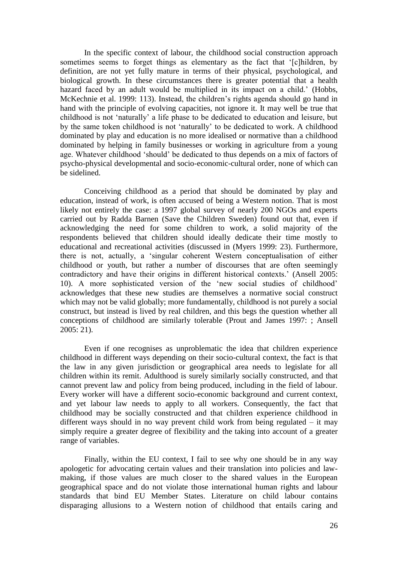In the specific context of labour, the childhood social construction approach sometimes seems to forget things as elementary as the fact that '[c]hildren, by definition, are not yet fully mature in terms of their physical, psychological, and biological growth. In these circumstances there is greater potential that a health hazard faced by an adult would be multiplied in its impact on a child.' (Hobbs, McKechnie et al. 1999: 113). Instead, the children's rights agenda should go hand in hand with the principle of evolving capacities, not ignore it. It may well be true that childhood is not 'naturally' a life phase to be dedicated to education and leisure, but by the same token childhood is not 'naturally' to be dedicated to work. A childhood dominated by play and education is no more idealised or normative than a childhood dominated by helping in family businesses or working in agriculture from a young age. Whatever childhood 'should' be dedicated to thus depends on a mix of factors of psycho-physical developmental and socio-economic-cultural order, none of which can be sidelined.

Conceiving childhood as a period that should be dominated by play and education, instead of work, is often accused of being a Western notion. That is most likely not entirely the case: a 1997 global survey of nearly 200 NGOs and experts carried out by Radda Barnen (Save the Children Sweden) found out that, even if acknowledging the need for some children to work, a solid majority of the respondents believed that children should ideally dedicate their time mostly to educational and recreational activities (discussed in (Myers 1999: 23). Furthermore, there is not, actually, a 'singular coherent Western conceptualisation of either childhood or youth, but rather a number of discourses that are often seemingly contradictory and have their origins in different historical contexts.' (Ansell 2005: 10). A more sophisticated version of the 'new social studies of childhood' acknowledges that these new studies are themselves a normative social construct which may not be valid globally; more fundamentally, childhood is not purely a social construct, but instead is lived by real children, and this begs the question whether all conceptions of childhood are similarly tolerable (Prout and James 1997: ; Ansell 2005: 21).

Even if one recognises as unproblematic the idea that children experience childhood in different ways depending on their socio-cultural context, the fact is that the law in any given jurisdiction or geographical area needs to legislate for all children within its remit. Adulthood is surely similarly socially constructed, and that cannot prevent law and policy from being produced, including in the field of labour. Every worker will have a different socio-economic background and current context, and yet labour law needs to apply to all workers. Consequently, the fact that childhood may be socially constructed and that children experience childhood in different ways should in no way prevent child work from being regulated – it may simply require a greater degree of flexibility and the taking into account of a greater range of variables.

Finally, within the EU context, I fail to see why one should be in any way apologetic for advocating certain values and their translation into policies and lawmaking, if those values are much closer to the shared values in the European geographical space and do not violate those international human rights and labour standards that bind EU Member States. Literature on child labour contains disparaging allusions to a Western notion of childhood that entails caring and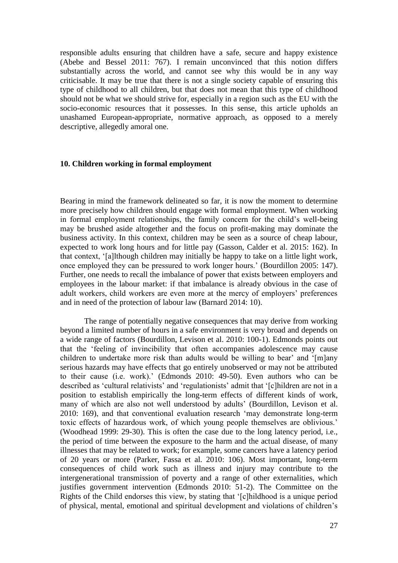responsible adults ensuring that children have a safe, secure and happy existence (Abebe and Bessel 2011: 767). I remain unconvinced that this notion differs substantially across the world, and cannot see why this would be in any way criticisable. It may be true that there is not a single society capable of ensuring this type of childhood to all children, but that does not mean that this type of childhood should not be what we should strive for, especially in a region such as the EU with the socio-economic resources that it possesses. In this sense, this article upholds an unashamed European-appropriate, normative approach, as opposed to a merely descriptive, allegedly amoral one.

# **10. Children working in formal employment**

Bearing in mind the framework delineated so far, it is now the moment to determine more precisely how children should engage with formal employment. When working in formal employment relationships, the family concern for the child's well-being may be brushed aside altogether and the focus on profit-making may dominate the business activity. In this context, children may be seen as a source of cheap labour, expected to work long hours and for little pay (Gasson, Calder et al. 2015: 162). In that context, '[a]lthough children may initially be happy to take on a little light work, once employed they can be pressured to work longer hours.' (Bourdillon 2005: 147). Further, one needs to recall the imbalance of power that exists between employers and employees in the labour market: if that imbalance is already obvious in the case of adult workers, child workers are even more at the mercy of employers' preferences and in need of the protection of labour law (Barnard 2014: 10).

The range of potentially negative consequences that may derive from working beyond a limited number of hours in a safe environment is very broad and depends on a wide range of factors (Bourdillon, Levison et al. 2010: 100-1). Edmonds points out that the 'feeling of invincibility that often accompanies adolescence may cause children to undertake more risk than adults would be willing to bear' and '[m]any serious hazards may have effects that go entirely unobserved or may not be attributed to their cause (i.e. work).' (Edmonds 2010: 49-50). Even authors who can be described as 'cultural relativists' and 'regulationists' admit that '[c]hildren are not in a position to establish empirically the long-term effects of different kinds of work, many of which are also not well understood by adults' (Bourdillon, Levison et al. 2010: 169), and that conventional evaluation research 'may demonstrate long-term toxic effects of hazardous work, of which young people themselves are oblivious.' (Woodhead 1999: 29-30). This is often the case due to the long latency period, i.e., the period of time between the exposure to the harm and the actual disease, of many illnesses that may be related to work; for example, some cancers have a latency period of 20 years or more (Parker, Fassa et al. 2010: 106). Most important, long-term consequences of child work such as illness and injury may contribute to the intergenerational transmission of poverty and a range of other externalities, which justifies government intervention (Edmonds 2010: 51-2). The Committee on the Rights of the Child endorses this view, by stating that '[c]hildhood is a unique period of physical, mental, emotional and spiritual development and violations of children's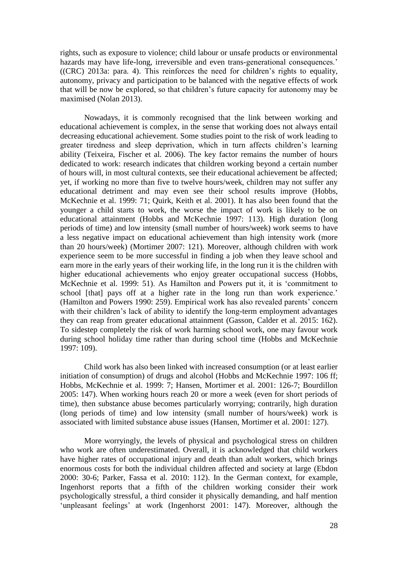rights, such as exposure to violence; child labour or unsafe products or environmental hazards may have life-long, irreversible and even trans-generational consequences.' ((CRC) 2013a: para. 4). This reinforces the need for children's rights to equality, autonomy, privacy and participation to be balanced with the negative effects of work that will be now be explored, so that children's future capacity for autonomy may be maximised (Nolan 2013).

Nowadays, it is commonly recognised that the link between working and educational achievement is complex, in the sense that working does not always entail decreasing educational achievement. Some studies point to the risk of work leading to greater tiredness and sleep deprivation, which in turn affects children's learning ability (Teixeira, Fischer et al. 2006). The key factor remains the number of hours dedicated to work: research indicates that children working beyond a certain number of hours will, in most cultural contexts, see their educational achievement be affected; yet, if working no more than five to twelve hours/week, children may not suffer any educational detriment and may even see their school results improve (Hobbs, McKechnie et al. 1999: 71; Quirk, Keith et al. 2001). It has also been found that the younger a child starts to work, the worse the impact of work is likely to be on educational attainment (Hobbs and McKechnie 1997: 113). High duration (long periods of time) and low intensity (small number of hours/week) work seems to have a less negative impact on educational achievement than high intensity work (more than 20 hours/week) (Mortimer 2007: 121). Moreover, although children with work experience seem to be more successful in finding a job when they leave school and earn more in the early years of their working life, in the long run it is the children with higher educational achievements who enjoy greater occupational success (Hobbs, McKechnie et al. 1999: 51). As Hamilton and Powers put it, it is 'commitment to school [that] pays off at a higher rate in the long run than work experience.' (Hamilton and Powers 1990: 259). Empirical work has also revealed parents' concern with their children's lack of ability to identify the long-term employment advantages they can reap from greater educational attainment (Gasson, Calder et al. 2015: 162). To sidestep completely the risk of work harming school work, one may favour work during school holiday time rather than during school time (Hobbs and McKechnie 1997: 109).

Child work has also been linked with increased consumption (or at least earlier initiation of consumption) of drugs and alcohol (Hobbs and McKechnie 1997: 106 ff; Hobbs, McKechnie et al. 1999: 7; Hansen, Mortimer et al. 2001: 126-7; Bourdillon 2005: 147). When working hours reach 20 or more a week (even for short periods of time), then substance abuse becomes particularly worrying; contrarily, high duration (long periods of time) and low intensity (small number of hours/week) work is associated with limited substance abuse issues (Hansen, Mortimer et al. 2001: 127).

More worryingly, the levels of physical and psychological stress on children who work are often underestimated. Overall, it is acknowledged that child workers have higher rates of occupational injury and death than adult workers, which brings enormous costs for both the individual children affected and society at large (Ebdon 2000: 30-6; Parker, Fassa et al. 2010: 112). In the German context, for example, Ingenhorst reports that a fifth of the children working consider their work psychologically stressful, a third consider it physically demanding, and half mention 'unpleasant feelings' at work (Ingenhorst 2001: 147). Moreover, although the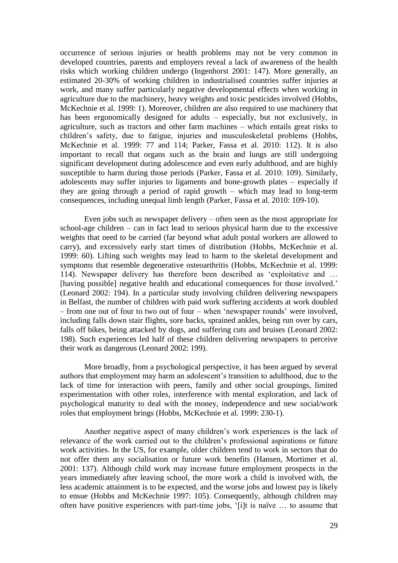occurrence of serious injuries or health problems may not be very common in developed countries, parents and employers reveal a lack of awareness of the health risks which working children undergo (Ingenhorst 2001: 147). More generally, an estimated 20-30% of working children in industrialised countries suffer injuries at work, and many suffer particularly negative developmental effects when working in agriculture due to the machinery, heavy weights and toxic pesticides involved (Hobbs, McKechnie et al. 1999: 1). Moreover, children are also required to use machinery that has been ergonomically designed for adults – especially, but not exclusively, in agriculture, such as tractors and other farm machines – which entails great risks to children's safety, due to fatigue, injuries and musculoskeletal problems (Hobbs, McKechnie et al. 1999: 77 and 114; Parker, Fassa et al. 2010: 112). It is also important to recall that organs such as the brain and lungs are still undergoing significant development during adolescence and even early adulthood, and are highly susceptible to harm during those periods (Parker, Fassa et al. 2010: 109). Similarly, adolescents may suffer injuries to ligaments and bone-growth plates – especially if they are going through a period of rapid growth – which may lead to long-term consequences, including unequal limb length (Parker, Fassa et al. 2010: 109-10).

Even jobs such as newspaper delivery – often seen as the most appropriate for school-age children – can in fact lead to serious physical harm due to the excessive weights that need to be carried (far beyond what adult postal workers are allowed to carry), and excessively early start times of distribution (Hobbs, McKechnie et al. 1999: 60). Lifting such weights may lead to harm to the skeletal development and symptoms that resemble degenerative osteoarthritis (Hobbs, McKechnie et al. 1999: 114). Newspaper delivery has therefore been described as 'exploitative and … [having possible] negative health and educational consequences for those involved.' (Leonard 2002: 194). In a particular study involving children delivering newspapers in Belfast, the number of children with paid work suffering accidents at work doubled – from one out of four to two out of four – when 'newspaper rounds' were involved, including falls down stair flights, sore backs, sprained ankles, being run over by cars, falls off bikes, being attacked by dogs, and suffering cuts and bruises (Leonard 2002: 198). Such experiences led half of these children delivering newspapers to perceive their work as dangerous (Leonard 2002: 199).

More broadly, from a psychological perspective, it has been argued by several authors that employment may harm an adolescent's transition to adulthood, due to the lack of time for interaction with peers, family and other social groupings, limited experimentation with other roles, interference with mental exploration, and lack of psychological maturity to deal with the money, independence and new social/work roles that employment brings (Hobbs, McKechnie et al. 1999: 230-1).

Another negative aspect of many children's work experiences is the lack of relevance of the work carried out to the children's professional aspirations or future work activities. In the US, for example, older children tend to work in sectors that do not offer them any socialisation or future work benefits (Hansen, Mortimer et al. 2001: 137). Although child work may increase future employment prospects in the years immediately after leaving school, the more work a child is involved with, the less academic attainment is to be expected, and the worse jobs and lowest pay is likely to ensue (Hobbs and McKechnie 1997: 105). Consequently, although children may often have positive experiences with part-time jobs, '[i]t is naïve … to assume that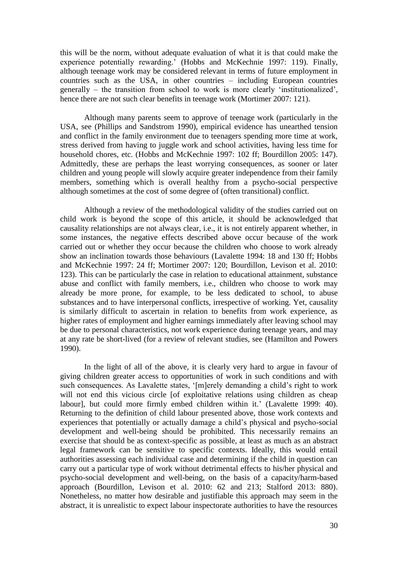this will be the norm, without adequate evaluation of what it is that could make the experience potentially rewarding.' (Hobbs and McKechnie 1997: 119). Finally, although teenage work may be considered relevant in terms of future employment in countries such as the USA, in other countries – including European countries generally – the transition from school to work is more clearly 'institutionalized', hence there are not such clear benefits in teenage work (Mortimer 2007: 121).

Although many parents seem to approve of teenage work (particularly in the USA, see (Phillips and Sandstrom 1990), empirical evidence has unearthed tension and conflict in the family environment due to teenagers spending more time at work, stress derived from having to juggle work and school activities, having less time for household chores, etc. (Hobbs and McKechnie 1997: 102 ff; Bourdillon 2005: 147). Admittedly, these are perhaps the least worrying consequences, as sooner or later children and young people will slowly acquire greater independence from their family members, something which is overall healthy from a psycho-social perspective although sometimes at the cost of some degree of (often transitional) conflict.

Although a review of the methodological validity of the studies carried out on child work is beyond the scope of this article, it should be acknowledged that causality relationships are not always clear, i.e., it is not entirely apparent whether, in some instances, the negative effects described above occur because of the work carried out or whether they occur because the children who choose to work already show an inclination towards those behaviours (Lavalette 1994: 18 and 130 ff; Hobbs and McKechnie 1997: 24 ff; Mortimer 2007: 120; Bourdillon, Levison et al. 2010: 123). This can be particularly the case in relation to educational attainment, substance abuse and conflict with family members, i.e., children who choose to work may already be more prone, for example, to be less dedicated to school, to abuse substances and to have interpersonal conflicts, irrespective of working. Yet, causality is similarly difficult to ascertain in relation to benefits from work experience, as higher rates of employment and higher earnings immediately after leaving school may be due to personal characteristics, not work experience during teenage years, and may at any rate be short-lived (for a review of relevant studies, see (Hamilton and Powers 1990).

In the light of all of the above, it is clearly very hard to argue in favour of giving children greater access to opportunities of work in such conditions and with such consequences. As Lavalette states, '[m]erely demanding a child's right to work will not end this vicious circle [of exploitative relations using children as cheap labour], but could more firmly embed children within it.' (Lavalette 1999: 40). Returning to the definition of child labour presented above, those work contexts and experiences that potentially or actually damage a child's physical and psycho-social development and well-being should be prohibited. This necessarily remains an exercise that should be as context-specific as possible, at least as much as an abstract legal framework can be sensitive to specific contexts. Ideally, this would entail authorities assessing each individual case and determining if the child in question can carry out a particular type of work without detrimental effects to his/her physical and psycho-social development and well-being, on the basis of a capacity/harm-based approach (Bourdillon, Levison et al. 2010: 62 and 213; Stalford 2013: 880). Nonetheless, no matter how desirable and justifiable this approach may seem in the abstract, it is unrealistic to expect labour inspectorate authorities to have the resources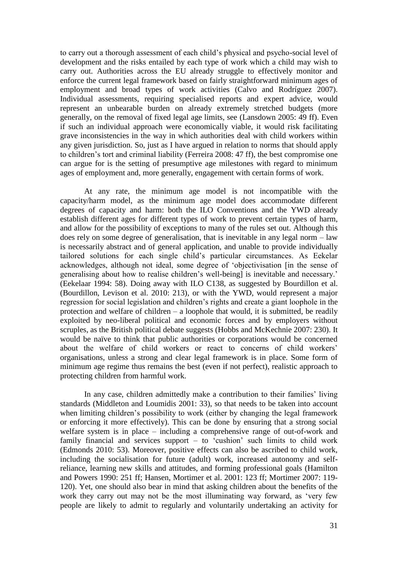to carry out a thorough assessment of each child's physical and psycho-social level of development and the risks entailed by each type of work which a child may wish to carry out. Authorities across the EU already struggle to effectively monitor and enforce the current legal framework based on fairly straightforward minimum ages of employment and broad types of work activities (Calvo and Rodríguez 2007). Individual assessments, requiring specialised reports and expert advice, would represent an unbearable burden on already extremely stretched budgets (more generally, on the removal of fixed legal age limits, see (Lansdown 2005: 49 ff). Even if such an individual approach were economically viable, it would risk facilitating grave inconsistencies in the way in which authorities deal with child workers within any given jurisdiction. So, just as I have argued in relation to norms that should apply to children's tort and criminal liability (Ferreira 2008: 47 ff), the best compromise one can argue for is the setting of presumptive age milestones with regard to minimum ages of employment and, more generally, engagement with certain forms of work.

At any rate, the minimum age model is not incompatible with the capacity/harm model, as the minimum age model does accommodate different degrees of capacity and harm: both the ILO Conventions and the YWD already establish different ages for different types of work to prevent certain types of harm, and allow for the possibility of exceptions to many of the rules set out. Although this does rely on some degree of generalisation, that is inevitable in any legal norm – law is necessarily abstract and of general application, and unable to provide individually tailored solutions for each single child's particular circumstances. As Eekelar acknowledges, although not ideal, some degree of 'objectivisation [in the sense of generalising about how to realise children's well-being] is inevitable and necessary.' (Eekelaar 1994: 58). Doing away with ILO C138, as suggested by Bourdillon et al. (Bourdillon, Levison et al. 2010: 213), or with the YWD, would represent a major regression for social legislation and children's rights and create a giant loophole in the protection and welfare of children – a loophole that would, it is submitted, be readily exploited by neo-liberal political and economic forces and by employers without scruples, as the British political debate suggests (Hobbs and McKechnie 2007: 230). It would be naïve to think that public authorities or corporations would be concerned about the welfare of child workers or react to concerns of child workers' organisations, unless a strong and clear legal framework is in place. Some form of minimum age regime thus remains the best (even if not perfect), realistic approach to protecting children from harmful work.

In any case, children admittedly make a contribution to their families' living standards (Middleton and Loumidis 2001: 33), so that needs to be taken into account when limiting children's possibility to work (either by changing the legal framework or enforcing it more effectively). This can be done by ensuring that a strong social welfare system is in place – including a comprehensive range of out-of-work and family financial and services support – to 'cushion' such limits to child work (Edmonds 2010: 53). Moreover, positive effects can also be ascribed to child work, including the socialisation for future (adult) work, increased autonomy and selfreliance, learning new skills and attitudes, and forming professional goals (Hamilton and Powers 1990: 251 ff; Hansen, Mortimer et al. 2001: 123 ff; Mortimer 2007: 119- 120). Yet, one should also bear in mind that asking children about the benefits of the work they carry out may not be the most illuminating way forward, as 'very few people are likely to admit to regularly and voluntarily undertaking an activity for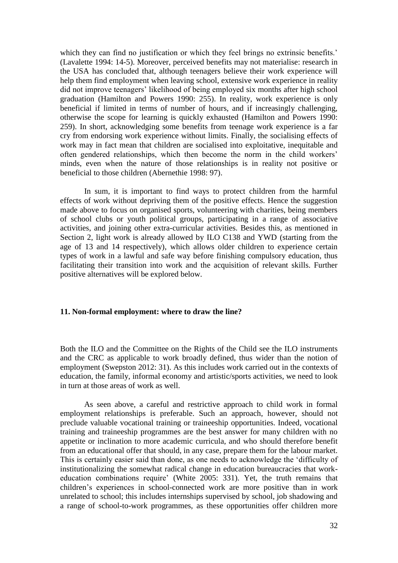which they can find no justification or which they feel brings no extrinsic benefits.' (Lavalette 1994: 14-5). Moreover, perceived benefits may not materialise: research in the USA has concluded that, although teenagers believe their work experience will help them find employment when leaving school, extensive work experience in reality did not improve teenagers' likelihood of being employed six months after high school graduation (Hamilton and Powers 1990: 255). In reality, work experience is only beneficial if limited in terms of number of hours, and if increasingly challenging, otherwise the scope for learning is quickly exhausted (Hamilton and Powers 1990: 259). In short, acknowledging some benefits from teenage work experience is a far cry from endorsing work experience without limits. Finally, the socialising effects of work may in fact mean that children are socialised into exploitative, inequitable and often gendered relationships, which then become the norm in the child workers' minds, even when the nature of those relationships is in reality not positive or beneficial to those children (Abernethie 1998: 97).

In sum, it is important to find ways to protect children from the harmful effects of work without depriving them of the positive effects. Hence the suggestion made above to focus on organised sports, volunteering with charities, being members of school clubs or youth political groups, participating in a range of associative activities, and joining other extra-curricular activities. Besides this, as mentioned in Section 2, light work is already allowed by ILO C138 and YWD (starting from the age of 13 and 14 respectively), which allows older children to experience certain types of work in a lawful and safe way before finishing compulsory education, thus facilitating their transition into work and the acquisition of relevant skills. Further positive alternatives will be explored below.

# **11. Non-formal employment: where to draw the line?**

Both the ILO and the Committee on the Rights of the Child see the ILO instruments and the CRC as applicable to work broadly defined, thus wider than the notion of employment (Swepston 2012: 31). As this includes work carried out in the contexts of education, the family, informal economy and artistic/sports activities, we need to look in turn at those areas of work as well.

As seen above, a careful and restrictive approach to child work in formal employment relationships is preferable. Such an approach, however, should not preclude valuable vocational training or traineeship opportunities. Indeed, vocational training and traineeship programmes are the best answer for many children with no appetite or inclination to more academic curricula, and who should therefore benefit from an educational offer that should, in any case, prepare them for the labour market. This is certainly easier said than done, as one needs to acknowledge the 'difficulty of institutionalizing the somewhat radical change in education bureaucracies that workeducation combinations require' (White 2005: 331). Yet, the truth remains that children's experiences in school-connected work are more positive than in work unrelated to school; this includes internships supervised by school, job shadowing and a range of school-to-work programmes, as these opportunities offer children more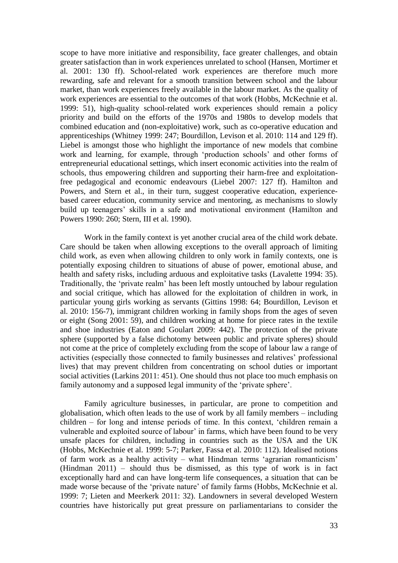scope to have more initiative and responsibility, face greater challenges, and obtain greater satisfaction than in work experiences unrelated to school (Hansen, Mortimer et al. 2001: 130 ff). School-related work experiences are therefore much more rewarding, safe and relevant for a smooth transition between school and the labour market, than work experiences freely available in the labour market. As the quality of work experiences are essential to the outcomes of that work (Hobbs, McKechnie et al. 1999: 51), high-quality school-related work experiences should remain a policy priority and build on the efforts of the 1970s and 1980s to develop models that combined education and (non-exploitative) work, such as co-operative education and apprenticeships (Whitney 1999: 247; Bourdillon, Levison et al. 2010: 114 and 129 ff). Liebel is amongst those who highlight the importance of new models that combine work and learning, for example, through 'production schools' and other forms of entrepreneurial educational settings, which insert economic activities into the realm of schools, thus empowering children and supporting their harm-free and exploitationfree pedagogical and economic endeavours (Liebel 2007: 127 ff). Hamilton and Powers, and Stern et al., in their turn, suggest cooperative education, experiencebased career education, community service and mentoring, as mechanisms to slowly build up teenagers' skills in a safe and motivational environment (Hamilton and Powers 1990: 260; Stern, III et al. 1990).

Work in the family context is yet another crucial area of the child work debate. Care should be taken when allowing exceptions to the overall approach of limiting child work, as even when allowing children to only work in family contexts, one is potentially exposing children to situations of abuse of power, emotional abuse, and health and safety risks, including arduous and exploitative tasks (Lavalette 1994: 35). Traditionally, the 'private realm' has been left mostly untouched by labour regulation and social critique, which has allowed for the exploitation of children in work, in particular young girls working as servants (Gittins 1998: 64; Bourdillon, Levison et al. 2010: 156-7), immigrant children working in family shops from the ages of seven or eight (Song 2001: 59), and children working at home for piece rates in the textile and shoe industries (Eaton and Goulart 2009: 442). The protection of the private sphere (supported by a false dichotomy between public and private spheres) should not come at the price of completely excluding from the scope of labour law a range of activities (especially those connected to family businesses and relatives' professional lives) that may prevent children from concentrating on school duties or important social activities (Larkins 2011: 451). One should thus not place too much emphasis on family autonomy and a supposed legal immunity of the 'private sphere'.

Family agriculture businesses, in particular, are prone to competition and globalisation, which often leads to the use of work by all family members – including children – for long and intense periods of time. In this context, 'children remain a vulnerable and exploited source of labour' in farms, which have been found to be very unsafe places for children, including in countries such as the USA and the UK (Hobbs, McKechnie et al. 1999: 5-7; Parker, Fassa et al. 2010: 112). Idealised notions of farm work as a healthy activity – what Hindman terms 'agrarian romanticism' (Hindman 2011) – should thus be dismissed, as this type of work is in fact exceptionally hard and can have long-term life consequences, a situation that can be made worse because of the 'private nature' of family farms (Hobbs, McKechnie et al. 1999: 7; Lieten and Meerkerk 2011: 32). Landowners in several developed Western countries have historically put great pressure on parliamentarians to consider the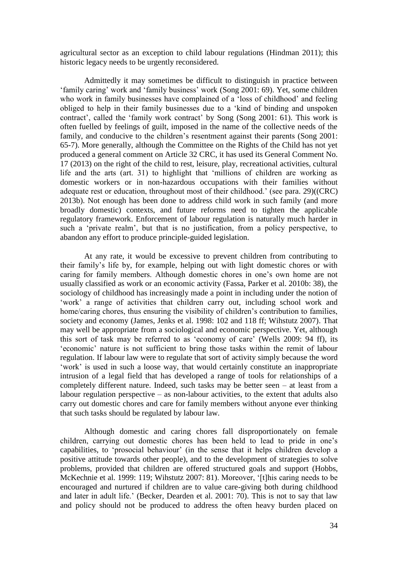agricultural sector as an exception to child labour regulations (Hindman 2011); this historic legacy needs to be urgently reconsidered.

Admittedly it may sometimes be difficult to distinguish in practice between 'family caring' work and 'family business' work (Song 2001: 69). Yet, some children who work in family businesses have complained of a 'loss of childhood' and feeling obliged to help in their family businesses due to a 'kind of binding and unspoken contract', called the 'family work contract' by Song (Song 2001: 61). This work is often fuelled by feelings of guilt, imposed in the name of the collective needs of the family, and conducive to the children's resentment against their parents (Song 2001: 65-7). More generally, although the Committee on the Rights of the Child has not yet produced a general comment on Article 32 CRC, it has used its General Comment No. 17 (2013) on the right of the child to rest, leisure, play, recreational activities, cultural life and the arts (art. 31) to highlight that 'millions of children are working as domestic workers or in non-hazardous occupations with their families without adequate rest or education, throughout most of their childhood.' (see para. 29)((CRC) 2013b). Not enough has been done to address child work in such family (and more broadly domestic) contexts, and future reforms need to tighten the applicable regulatory framework. Enforcement of labour regulation is naturally much harder in such a 'private realm', but that is no justification, from a policy perspective, to abandon any effort to produce principle-guided legislation.

At any rate, it would be excessive to prevent children from contributing to their family's life by, for example, helping out with light domestic chores or with caring for family members. Although domestic chores in one's own home are not usually classified as work or an economic activity (Fassa, Parker et al. 2010b: 38), the sociology of childhood has increasingly made a point in including under the notion of 'work' a range of activities that children carry out, including school work and home/caring chores, thus ensuring the visibility of children's contribution to families, society and economy (James, Jenks et al. 1998: 102 and 118 ff; Wihstutz 2007). That may well be appropriate from a sociological and economic perspective. Yet, although this sort of task may be referred to as 'economy of care' (Wells 2009: 94 ff), its 'economic' nature is not sufficient to bring those tasks within the remit of labour regulation. If labour law were to regulate that sort of activity simply because the word 'work' is used in such a loose way, that would certainly constitute an inappropriate intrusion of a legal field that has developed a range of tools for relationships of a completely different nature. Indeed, such tasks may be better seen – at least from a labour regulation perspective  $-$  as non-labour activities, to the extent that adults also carry out domestic chores and care for family members without anyone ever thinking that such tasks should be regulated by labour law.

Although domestic and caring chores fall disproportionately on female children, carrying out domestic chores has been held to lead to pride in one's capabilities, to 'prosocial behaviour' (in the sense that it helps children develop a positive attitude towards other people), and to the development of strategies to solve problems, provided that children are offered structured goals and support (Hobbs, McKechnie et al. 1999: 119; Wihstutz 2007: 81). Moreover, '[t]his caring needs to be encouraged and nurtured if children are to value care-giving both during childhood and later in adult life.' (Becker, Dearden et al. 2001: 70). This is not to say that law and policy should not be produced to address the often heavy burden placed on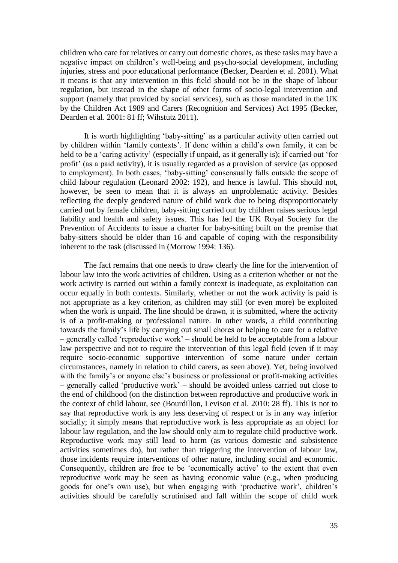children who care for relatives or carry out domestic chores, as these tasks may have a negative impact on children's well-being and psycho-social development, including injuries, stress and poor educational performance (Becker, Dearden et al. 2001). What it means is that any intervention in this field should not be in the shape of labour regulation, but instead in the shape of other forms of socio-legal intervention and support (namely that provided by social services), such as those mandated in the UK by the Children Act 1989 and Carers (Recognition and Services) Act 1995 (Becker, Dearden et al. 2001: 81 ff; Wihstutz 2011).

It is worth highlighting 'baby-sitting' as a particular activity often carried out by children within 'family contexts'. If done within a child's own family, it can be held to be a 'caring activity' (especially if unpaid, as it generally is); if carried out 'for profit' (as a paid activity), it is usually regarded as a provision of service (as opposed to employment). In both cases, 'baby-sitting' consensually falls outside the scope of child labour regulation (Leonard 2002: 192), and hence is lawful. This should not, however, be seen to mean that it is always an unproblematic activity. Besides reflecting the deeply gendered nature of child work due to being disproportionately carried out by female children, baby-sitting carried out by children raises serious legal liability and health and safety issues. This has led the UK Royal Society for the Prevention of Accidents to issue a charter for baby-sitting built on the premise that baby-sitters should be older than 16 and capable of coping with the responsibility inherent to the task (discussed in (Morrow 1994: 136).

The fact remains that one needs to draw clearly the line for the intervention of labour law into the work activities of children. Using as a criterion whether or not the work activity is carried out within a family context is inadequate, as exploitation can occur equally in both contexts. Similarly, whether or not the work activity is paid is not appropriate as a key criterion, as children may still (or even more) be exploited when the work is unpaid. The line should be drawn, it is submitted, where the activity is of a profit-making or professional nature. In other words, a child contributing towards the family's life by carrying out small chores or helping to care for a relative – generally called 'reproductive work' – should be held to be acceptable from a labour law perspective and not to require the intervention of this legal field (even if it may require socio-economic supportive intervention of some nature under certain circumstances, namely in relation to child carers, as seen above). Yet, being involved with the family's or anyone else's business or professional or profit-making activities – generally called 'productive work' – should be avoided unless carried out close to the end of childhood (on the distinction between reproductive and productive work in the context of child labour, see (Bourdillon, Levison et al. 2010: 28 ff). This is not to say that reproductive work is any less deserving of respect or is in any way inferior socially; it simply means that reproductive work is less appropriate as an object for labour law regulation, and the law should only aim to regulate child productive work. Reproductive work may still lead to harm (as various domestic and subsistence activities sometimes do), but rather than triggering the intervention of labour law, those incidents require interventions of other nature, including social and economic. Consequently, children are free to be 'economically active' to the extent that even reproductive work may be seen as having economic value (e.g., when producing goods for one's own use), but when engaging with 'productive work', children's activities should be carefully scrutinised and fall within the scope of child work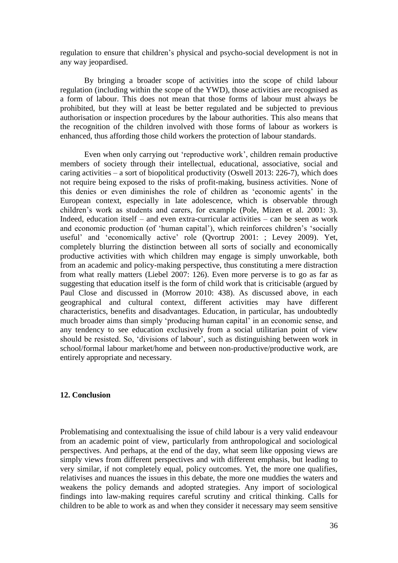regulation to ensure that children's physical and psycho-social development is not in any way jeopardised.

By bringing a broader scope of activities into the scope of child labour regulation (including within the scope of the YWD), those activities are recognised as a form of labour. This does not mean that those forms of labour must always be prohibited, but they will at least be better regulated and be subjected to previous authorisation or inspection procedures by the labour authorities. This also means that the recognition of the children involved with those forms of labour as workers is enhanced, thus affording those child workers the protection of labour standards.

Even when only carrying out 'reproductive work', children remain productive members of society through their intellectual, educational, associative, social and caring activities – a sort of biopolitical productivity (Oswell 2013: 226-7), which does not require being exposed to the risks of profit-making, business activities. None of this denies or even diminishes the role of children as 'economic agents' in the European context, especially in late adolescence, which is observable through children's work as students and carers, for example (Pole, Mizen et al. 2001: 3). Indeed, education itself – and even extra-curricular activities – can be seen as work and economic production (of 'human capital'), which reinforces children's 'socially useful' and 'economically active' role (Qvortrup 2001: ; Levey 2009). Yet, completely blurring the distinction between all sorts of socially and economically productive activities with which children may engage is simply unworkable, both from an academic and policy-making perspective, thus constituting a mere distraction from what really matters (Liebel 2007: 126). Even more perverse is to go as far as suggesting that education itself is the form of child work that is criticisable (argued by Paul Close and discussed in (Morrow 2010: 438). As discussed above, in each geographical and cultural context, different activities may have different characteristics, benefits and disadvantages. Education, in particular, has undoubtedly much broader aims than simply 'producing human capital' in an economic sense, and any tendency to see education exclusively from a social utilitarian point of view should be resisted. So, 'divisions of labour', such as distinguishing between work in school/formal labour market/home and between non-productive/productive work, are entirely appropriate and necessary.

# **12. Conclusion**

Problematising and contextualising the issue of child labour is a very valid endeavour from an academic point of view, particularly from anthropological and sociological perspectives. And perhaps, at the end of the day, what seem like opposing views are simply views from different perspectives and with different emphasis, but leading to very similar, if not completely equal, policy outcomes. Yet, the more one qualifies, relativises and nuances the issues in this debate, the more one muddies the waters and weakens the policy demands and adopted strategies. Any import of sociological findings into law-making requires careful scrutiny and critical thinking. Calls for children to be able to work as and when they consider it necessary may seem sensitive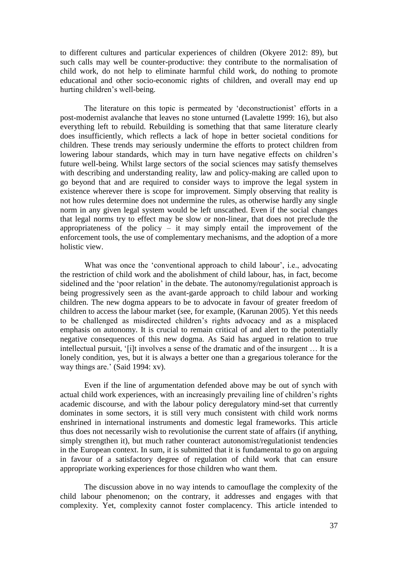to different cultures and particular experiences of children (Okyere 2012: 89), but such calls may well be counter-productive: they contribute to the normalisation of child work, do not help to eliminate harmful child work, do nothing to promote educational and other socio-economic rights of children, and overall may end up hurting children's well-being.

The literature on this topic is permeated by 'deconstructionist' efforts in a post-modernist avalanche that leaves no stone unturned (Lavalette 1999: 16), but also everything left to rebuild. Rebuilding is something that that same literature clearly does insufficiently, which reflects a lack of hope in better societal conditions for children. These trends may seriously undermine the efforts to protect children from lowering labour standards, which may in turn have negative effects on children's future well-being. Whilst large sectors of the social sciences may satisfy themselves with describing and understanding reality, law and policy-making are called upon to go beyond that and are required to consider ways to improve the legal system in existence wherever there is scope for improvement. Simply observing that reality is not how rules determine does not undermine the rules, as otherwise hardly any single norm in any given legal system would be left unscathed. Even if the social changes that legal norms try to effect may be slow or non-linear, that does not preclude the appropriateness of the policy – it may simply entail the improvement of the enforcement tools, the use of complementary mechanisms, and the adoption of a more holistic view.

What was once the 'conventional approach to child labour', i.e., advocating the restriction of child work and the abolishment of child labour, has, in fact, become sidelined and the 'poor relation' in the debate. The autonomy/regulationist approach is being progressively seen as the avant-garde approach to child labour and working children. The new dogma appears to be to advocate in favour of greater freedom of children to access the labour market (see, for example, (Karunan 2005). Yet this needs to be challenged as misdirected children's rights advocacy and as a misplaced emphasis on autonomy. It is crucial to remain critical of and alert to the potentially negative consequences of this new dogma. As Said has argued in relation to true intellectual pursuit, '[i]t involves a sense of the dramatic and of the insurgent … It is a lonely condition, yes, but it is always a better one than a gregarious tolerance for the way things are.' (Said 1994: xv).

Even if the line of argumentation defended above may be out of synch with actual child work experiences, with an increasingly prevailing line of children's rights academic discourse, and with the labour policy deregulatory mind-set that currently dominates in some sectors, it is still very much consistent with child work norms enshrined in international instruments and domestic legal frameworks. This article thus does not necessarily wish to revolutionise the current state of affairs (if anything, simply strengthen it), but much rather counteract autonomist/regulationist tendencies in the European context. In sum, it is submitted that it is fundamental to go on arguing in favour of a satisfactory degree of regulation of child work that can ensure appropriate working experiences for those children who want them.

The discussion above in no way intends to camouflage the complexity of the child labour phenomenon; on the contrary, it addresses and engages with that complexity. Yet, complexity cannot foster complacency. This article intended to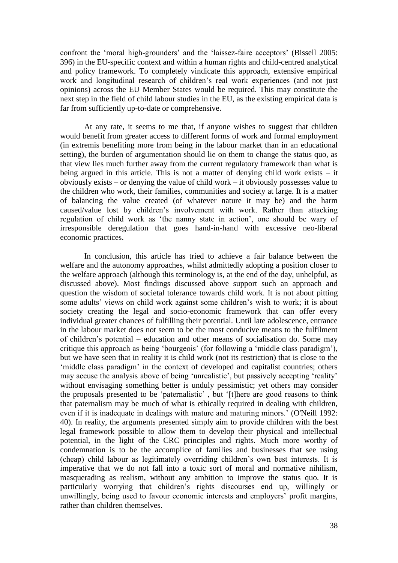confront the 'moral high-grounders' and the 'laissez-faire acceptors' (Bissell 2005: 396) in the EU-specific context and within a human rights and child-centred analytical and policy framework. To completely vindicate this approach, extensive empirical work and longitudinal research of children's real work experiences (and not just opinions) across the EU Member States would be required. This may constitute the next step in the field of child labour studies in the EU, as the existing empirical data is far from sufficiently up-to-date or comprehensive.

At any rate, it seems to me that, if anyone wishes to suggest that children would benefit from greater access to different forms of work and formal employment (in extremis benefiting more from being in the labour market than in an educational setting), the burden of argumentation should lie on them to change the status quo, as that view lies much further away from the current regulatory framework than what is being argued in this article. This is not a matter of denying child work exists – it obviously exists – or denying the value of child work – it obviously possesses value to the children who work, their families, communities and society at large. It is a matter of balancing the value created (of whatever nature it may be) and the harm caused/value lost by children's involvement with work. Rather than attacking regulation of child work as 'the nanny state in action', one should be wary of irresponsible deregulation that goes hand-in-hand with excessive neo-liberal economic practices.

In conclusion, this article has tried to achieve a fair balance between the welfare and the autonomy approaches, whilst admittedly adopting a position closer to the welfare approach (although this terminology is, at the end of the day, unhelpful, as discussed above). Most findings discussed above support such an approach and question the wisdom of societal tolerance towards child work. It is not about pitting some adults' views on child work against some children's wish to work; it is about society creating the legal and socio-economic framework that can offer every individual greater chances of fulfilling their potential. Until late adolescence, entrance in the labour market does not seem to be the most conducive means to the fulfilment of children's potential – education and other means of socialisation do. Some may critique this approach as being 'bourgeois' (for following a 'middle class paradigm'), but we have seen that in reality it is child work (not its restriction) that is close to the 'middle class paradigm' in the context of developed and capitalist countries; others may accuse the analysis above of being 'unrealistic', but passively accepting 'reality' without envisaging something better is unduly pessimistic; yet others may consider the proposals presented to be 'paternalistic' , but '[t]here are good reasons to think that paternalism may be much of what is ethically required in dealing with children, even if it is inadequate in dealings with mature and maturing minors.' (O'Neill 1992: 40). In reality, the arguments presented simply aim to provide children with the best legal framework possible to allow them to develop their physical and intellectual potential, in the light of the CRC principles and rights. Much more worthy of condemnation is to be the accomplice of families and businesses that see using (cheap) child labour as legitimately overriding children's own best interests. It is imperative that we do not fall into a toxic sort of moral and normative nihilism, masquerading as realism, without any ambition to improve the status quo. It is particularly worrying that children's rights discourses end up, willingly or unwillingly, being used to favour economic interests and employers' profit margins, rather than children themselves.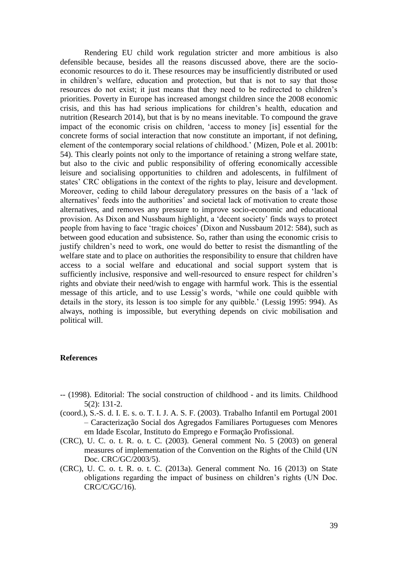Rendering EU child work regulation stricter and more ambitious is also defensible because, besides all the reasons discussed above, there are the socioeconomic resources to do it. These resources may be insufficiently distributed or used in children's welfare, education and protection, but that is not to say that those resources do not exist; it just means that they need to be redirected to children's priorities. Poverty in Europe has increased amongst children since the 2008 economic crisis, and this has had serious implications for children's health, education and nutrition (Research 2014), but that is by no means inevitable. To compound the grave impact of the economic crisis on children, 'access to money [is] essential for the concrete forms of social interaction that now constitute an important, if not defining, element of the contemporary social relations of childhood.' (Mizen, Pole et al. 2001b: 54). This clearly points not only to the importance of retaining a strong welfare state, but also to the civic and public responsibility of offering economically accessible leisure and socialising opportunities to children and adolescents, in fulfilment of states' CRC obligations in the context of the rights to play, leisure and development. Moreover, ceding to child labour deregulatory pressures on the basis of a 'lack of alternatives' feeds into the authorities' and societal lack of motivation to create those alternatives, and removes any pressure to improve socio-economic and educational provision. As Dixon and Nussbaum highlight, a 'decent society' finds ways to protect people from having to face 'tragic choices' (Dixon and Nussbaum 2012: 584), such as between good education and subsistence. So, rather than using the economic crisis to justify children's need to work, one would do better to resist the dismantling of the welfare state and to place on authorities the responsibility to ensure that children have access to a social welfare and educational and social support system that is sufficiently inclusive, responsive and well-resourced to ensure respect for children's rights and obviate their need/wish to engage with harmful work. This is the essential message of this article, and to use Lessig's words, 'while one could quibble with details in the story, its lesson is too simple for any quibble.' (Lessig 1995: 994). As always, nothing is impossible, but everything depends on civic mobilisation and political will.

# **References**

- -- (1998). Editorial: The social construction of childhood and its limits. Childhood 5(2): 131-2.
- (coord.), S.-S. d. I. E. s. o. T. I. J. A. S. F. (2003). Trabalho Infantil em Portugal 2001 – Caracterização Social dos Agregados Familiares Portugueses com Menores em Idade Escolar, Instituto do Emprego e Formação Profissional.
- (CRC), U. C. o. t. R. o. t. C. (2003). General comment No. 5 (2003) on general measures of implementation of the Convention on the Rights of the Child (UN Doc. CRC/GC/2003/5).
- (CRC), U. C. o. t. R. o. t. C. (2013a). General comment No. 16 (2013) on State obligations regarding the impact of business on children's rights (UN Doc. CRC/C/GC/16).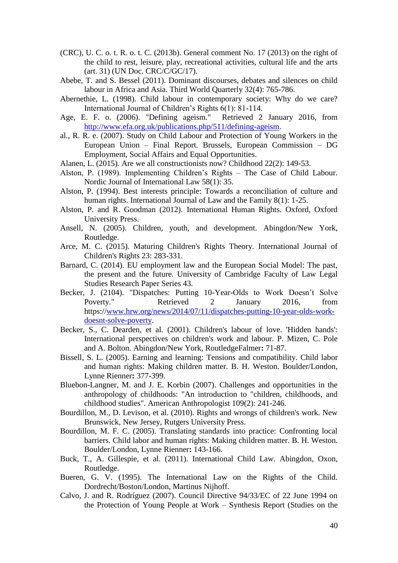- (CRC), U. C. o. t. R. o. t. C. (2013b). General comment No. 17 (2013) on the right of the child to rest, leisure, play, recreational activities, cultural life and the arts (art. 31) (UN Doc. CRC/C/GC/17).
- Abebe, T. and S. Bessel (2011). Dominant discourses, debates and silences on child labour in Africa and Asia. Third World Quarterly 32(4): 765-786.
- Abernethie, L. (1998). Child labour in contemporary society: Why do we care? International Journal of Children's Rights 6(1): 81-114.
- Age, E. F. o. (2006). "Defining ageism." Retrieved 2 January 2016, from [http://www.efa.org.uk/publications.php/511/defining-ageism.](http://www.efa.org.uk/publications.php/511/defining-ageism)
- al., R. R. e. (2007). Study on Child Labour and Protection of Young Workers in the European Union – Final Report. Brussels, European Commission – DG Employment, Social Affairs and Equal Opportunities.
- Alanen, L. (2015). Are we all constructionists now? Childhood 22(2): 149-53.
- Alston, P. (1989). Implementing Children's Rights The Case of Child Labour. Nordic Journal of International Law 58(1): 35.
- Alston, P. (1994). Best interests principle: Towards a reconciliation of culture and human rights. International Journal of Law and the Family 8(1): 1-25.
- Alston, P. and R. Goodman (2012). International Human Rights. Oxford, Oxford University Press.
- Ansell, N. (2005). Children, youth, and development. Abingdon/New York, Routledge.
- Arce, M. C. (2015). Maturing Children's Rights Theory. International Journal of Children's Rights 23: 283-331.
- Barnard, C. (2014). EU employment law and the European Social Model: The past, the present and the future. University of Cambridge Faculty of Law Legal Studies Research Paper Series 43.
- Becker, J. (2104). "Dispatches: Putting 10-Year-Olds to Work Doesn't Solve Poverty." Retrieved 2 January 2016, from https:/[/www.hrw.org/news/2014/07/11/dispatches-putting-10-year-olds-work](http://www.hrw.org/news/2014/07/11/dispatches-putting-10-year-olds-work-doesnt-solve-poverty)[doesnt-solve-poverty.](http://www.hrw.org/news/2014/07/11/dispatches-putting-10-year-olds-work-doesnt-solve-poverty)
- Becker, S., C. Dearden, et al. (2001). Children's labour of love. 'Hidden hands': International perspectives on children's work and labour. P. Mizen, C. Pole and A. Bolton. Abingdon/New York, RoutledgeFalmer**:** 71-87.
- Bissell, S. L. (2005). Earning and learning: Tensions and compatibility. Child labor and human rights: Making children matter. B. H. Weston. Boulder/London, Lynne Rienner**:** 377-399.
- Bluebon-Langner, M. and J. E. Korbin (2007). Challenges and opportunities in the anthropology of childhoods: "An introduction to "children, childhoods, and childhood studies". American Anthropologist 109(2): 241-246.
- Bourdillon, M., D. Levison, et al. (2010). Rights and wrongs of children's work. New Brunswick, New Jersey, Rutgers University Press.
- Bourdillon, M. F. C. (2005). Translating standards into practice: Confronting local barriers. Child labor and human rights: Making children matter. B. H. Weston. Boulder/London, Lynne Rienner**:** 143-166.
- Buck, T., A. Gillespie, et al. (2011). International Child Law. Abingdon, Oxon, Routledge.
- Bueren, G. V. (1995). The International Law on the Rights of the Child. Dordrecht/Boston/London, Martinus Nijhoff.
- Calvo, J. and R. Rodríguez (2007). Council Directive 94/33/EC of 22 June 1994 on the Protection of Young People at Work – Synthesis Report (Studies on the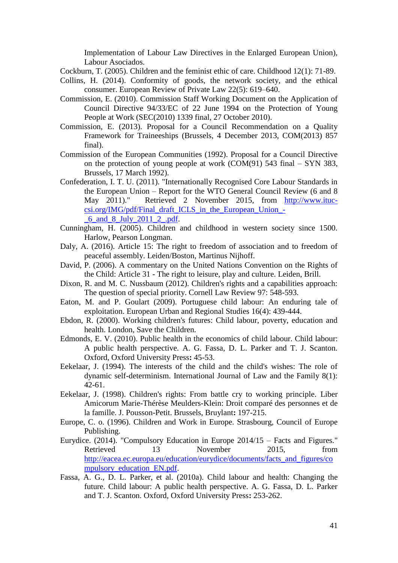Implementation of Labour Law Directives in the Enlarged European Union), Labour Asociados.

Cockburn, T. (2005). Children and the feminist ethic of care. Childhood 12(1): 71-89.

- Collins, H. (2014). Conformity of goods, the network society, and the ethical consumer. European Review of Private Law 22(5): 619–640.
- Commission, E. (2010). Commission Staff Working Document on the Application of Council Directive 94/33/EC of 22 June 1994 on the Protection of Young People at Work (SEC(2010) 1339 final, 27 October 2010).
- Commission, E. (2013). Proposal for a Council Recommendation on a Quality Framework for Traineeships (Brussels, 4 December 2013, COM(2013) 857 final).
- Commission of the European Communities (1992). Proposal for a Council Directive on the protection of young people at work (COM(91) 543 final – SYN 383, Brussels, 17 March 1992).
- Confederation, I. T. U. (2011). "Internationally Recognised Core Labour Standards in the European Union – Report for the WTO General Council Review (6 and 8 May 2011)." Retrieved 2 November 2015, from [http://www.ituc](http://www.ituc-csi.org/IMG/pdf/Final_draft_ICLS_in_the_European_Union_-_6_and_8_July_2011_2_.pdf)[csi.org/IMG/pdf/Final\\_draft\\_ICLS\\_in\\_the\\_European\\_Union\\_-](http://www.ituc-csi.org/IMG/pdf/Final_draft_ICLS_in_the_European_Union_-_6_and_8_July_2011_2_.pdf) [\\_6\\_and\\_8\\_July\\_2011\\_2\\_.pdf.](http://www.ituc-csi.org/IMG/pdf/Final_draft_ICLS_in_the_European_Union_-_6_and_8_July_2011_2_.pdf)
- Cunningham, H. (2005). Children and childhood in western society since 1500. Harlow, Pearson Longman.
- Daly, A. (2016). Article 15: The right to freedom of association and to freedom of peaceful assembly. Leiden/Boston, Martinus Nijhoff.
- David, P. (2006). A commentary on the United Nations Convention on the Rights of the Child: Article 31 - The right to leisure, play and culture. Leiden, Brill.
- Dixon, R. and M. C. Nussbaum (2012). Children's rights and a capabilities approach: The question of special priority. Cornell Law Review 97: 548-593.
- Eaton, M. and P. Goulart (2009). Portuguese child labour: An enduring tale of exploitation. European Urban and Regional Studies 16(4): 439-444.
- Ebdon, R. (2000). Working children's futures: Child labour, poverty, education and health. London, Save the Children.
- Edmonds, E. V. (2010). Public health in the economics of child labour. Child labour: A public health perspective. A. G. Fassa, D. L. Parker and T. J. Scanton. Oxford, Oxford University Press**:** 45-53.
- Eekelaar, J. (1994). The interests of the child and the child's wishes: The role of dynamic self-determinism. International Journal of Law and the Family 8(1): 42-61.
- Eekelaar, J. (1998). Children's rights: From battle cry to working principle. Liber Amicorum Marie-Thérèse Meulders-Klein: Droit comparé des personnes et de la famille. J. Pousson-Petit. Brussels, Bruylant**:** 197-215.
- Europe, C. o. (1996). Children and Work in Europe. Strasbourg, Council of Europe Publishing.
- Eurydice. (2014). "Compulsory Education in Europe 2014/15 Facts and Figures." Retrieved 13 November 2015, from [http://eacea.ec.europa.eu/education/eurydice/documents/facts\\_and\\_figures/co](http://eacea.ec.europa.eu/education/eurydice/documents/facts_and_figures/compulsory_education_EN.pdf) [mpulsory\\_education\\_EN.pdf.](http://eacea.ec.europa.eu/education/eurydice/documents/facts_and_figures/compulsory_education_EN.pdf)
- Fassa, A. G., D. L. Parker, et al. (2010a). Child labour and health: Changing the future. Child labour: A public health perspective. A. G. Fassa, D. L. Parker and T. J. Scanton. Oxford, Oxford University Press**:** 253-262.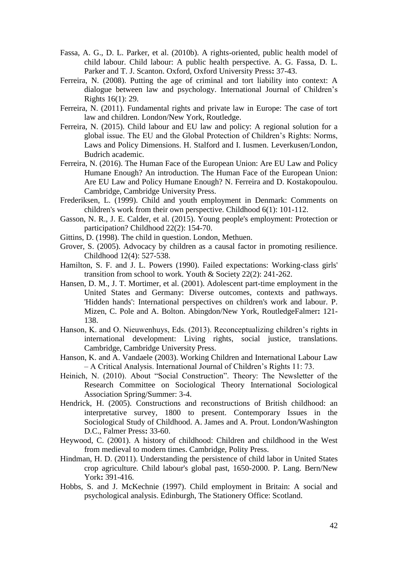- Fassa, A. G., D. L. Parker, et al. (2010b). A rights-oriented, public health model of child labour. Child labour: A public health perspective. A. G. Fassa, D. L. Parker and T. J. Scanton. Oxford, Oxford University Press**:** 37-43.
- Ferreira, N. (2008). Putting the age of criminal and tort liability into context: A dialogue between law and psychology. International Journal of Children's Rights 16(1): 29.
- Ferreira, N. (2011). Fundamental rights and private law in Europe: The case of tort law and children. London/New York, Routledge.
- Ferreira, N. (2015). Child labour and EU law and policy: A regional solution for a global issue. The EU and the Global Protection of Children's Rights: Norms, Laws and Policy Dimensions. H. Stalford and I. Iusmen. Leverkusen/London, Budrich academic.
- Ferreira, N. (2016). The Human Face of the European Union: Are EU Law and Policy Humane Enough? An introduction. The Human Face of the European Union: Are EU Law and Policy Humane Enough? N. Ferreira and D. Kostakopoulou. Cambridge, Cambridge University Press.
- Frederiksen, L. (1999). Child and youth employment in Denmark: Comments on children's work from their own perspective. Childhood 6(1): 101-112.
- Gasson, N. R., J. E. Calder, et al. (2015). Young people's employment: Protection or participation? Childhood 22(2): 154-70.
- Gittins, D. (1998). The child in question. London, Methuen.
- Grover, S. (2005). Advocacy by children as a causal factor in promoting resilience. Childhood 12(4): 527-538.
- Hamilton, S. F. and J. L. Powers (1990). Failed expectations: Working-class girls' transition from school to work. Youth & Society 22(2): 241-262.
- Hansen, D. M., J. T. Mortimer, et al. (2001). Adolescent part-time employment in the United States and Germany: Diverse outcomes, contexts and pathways. 'Hidden hands': International perspectives on children's work and labour. P. Mizen, C. Pole and A. Bolton. Abingdon/New York, RoutledgeFalmer**:** 121- 138.
- Hanson, K. and O. Nieuwenhuys, Eds. (2013). Reconceptualizing children's rights in international development: Living rights, social justice, translations. Cambridge, Cambridge University Press.
- Hanson, K. and A. Vandaele (2003). Working Children and International Labour Law – A Critical Analysis. International Journal of Children's Rights 11: 73.
- Heinich, N. (2010). About "Social Construction". Theory: The Newsletter of the Research Committee on Sociological Theory International Sociological Association Spring/Summer: 3-4.
- Hendrick, H. (2005). Constructions and reconstructions of British childhood: an interpretative survey, 1800 to present. Contemporary Issues in the Sociological Study of Childhood. A. James and A. Prout. London/Washington D.C., Falmer Press**:** 33-60.
- Heywood, C. (2001). A history of childhood: Children and childhood in the West from medieval to modern times. Cambridge, Polity Press.
- Hindman, H. D. (2011). Understanding the persistence of child labor in United States crop agriculture. Child labour's global past, 1650-2000. P. Lang. Bern/New York**:** 391-416.
- Hobbs, S. and J. McKechnie (1997). Child employment in Britain: A social and psychological analysis. Edinburgh, The Stationery Office: Scotland.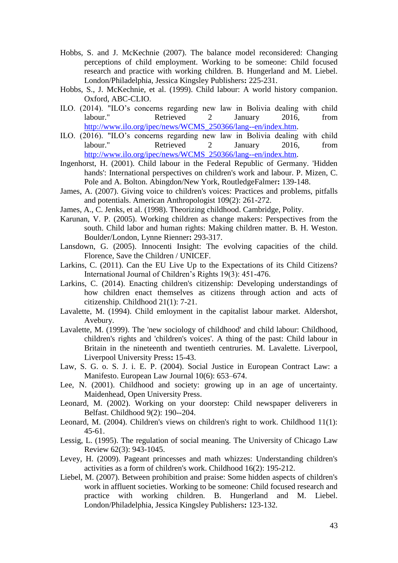- Hobbs, S. and J. McKechnie (2007). The balance model reconsidered: Changing perceptions of child employment. Working to be someone: Child focused research and practice with working children. B. Hungerland and M. Liebel. London/Philadelphia, Jessica Kingsley Publishers**:** 225-231.
- Hobbs, S., J. McKechnie, et al. (1999). Child labour: A world history companion. Oxford, ABC-CLIO.
- ILO. (2014). "ILO's concerns regarding new law in Bolivia dealing with child labour." Retrieved 2 January 2016, from [http://www.ilo.org/ipec/news/WCMS\\_250366/lang--en/index.htm.](http://www.ilo.org/ipec/news/WCMS_250366/lang--en/index.htm)
- ILO. (2016). "ILO's concerns regarding new law in Bolivia dealing with child labour." Retrieved 2 January 2016, from [http://www.ilo.org/ipec/news/WCMS\\_250366/lang--en/index.htm.](http://www.ilo.org/ipec/news/WCMS_250366/lang--en/index.htm)
- Ingenhorst, H. (2001). Child labour in the Federal Republic of Germany. 'Hidden hands': International perspectives on children's work and labour. P. Mizen, C. Pole and A. Bolton. Abingdon/New York, RoutledgeFalmer**:** 139-148.
- James, A. (2007). Giving voice to children's voices: Practices and problems, pitfalls and potentials. American Anthropologist 109(2): 261-272.
- James, A., C. Jenks, et al. (1998). Theorizing childhood. Cambridge, Polity.
- Karunan, V. P. (2005). Working children as change makers: Perspectives from the south. Child labor and human rights: Making children matter. B. H. Weston. Boulder/London, Lynne Rienner**:** 293-317.
- Lansdown, G. (2005). Innocenti Insight: The evolving capacities of the child. Florence, Save the Children / UNICEF.
- Larkins, C. (2011). Can the EU Live Up to the Expectations of its Child Citizens? International Journal of Children's Rights 19(3): 451-476.
- Larkins, C. (2014). Enacting children's citizenship: Developing understandings of how children enact themselves as citizens through action and acts of citizenship. Childhood 21(1): 7-21.
- Lavalette, M. (1994). Child emloyment in the capitalist labour market. Aldershot, Avebury.
- Lavalette, M. (1999). The 'new sociology of childhood' and child labour: Childhood, children's rights and 'children's voices'. A thing of the past: Child labour in Britain in the nineteenth and twentieth centruries. M. Lavalette. Liverpool, Liverpool University Press**:** 15-43.
- Law, S. G. o. S. J. i. E. P. (2004). Social Justice in European Contract Law: a Manifesto. European Law Journal 10(6): 653–674.
- Lee, N. (2001). Childhood and society: growing up in an age of uncertainty. Maidenhead, Open University Press.
- Leonard, M. (2002). Working on your doorstep: Child newspaper deliverers in Belfast. Childhood 9(2): 190--204.
- Leonard, M. (2004). Children's views on children's right to work. Childhood 11(1): 45-61.
- Lessig, L. (1995). The regulation of social meaning. The University of Chicago Law Review 62(3): 943-1045.
- Levey, H. (2009). Pageant princesses and math whizzes: Understanding children's activities as a form of children's work. Childhood 16(2): 195-212.
- Liebel, M. (2007). Between prohibition and praise: Some hidden aspects of children's work in affluent societies. Working to be someone: Child focused research and practice with working children. B. Hungerland and M. Liebel. London/Philadelphia, Jessica Kingsley Publishers**:** 123-132.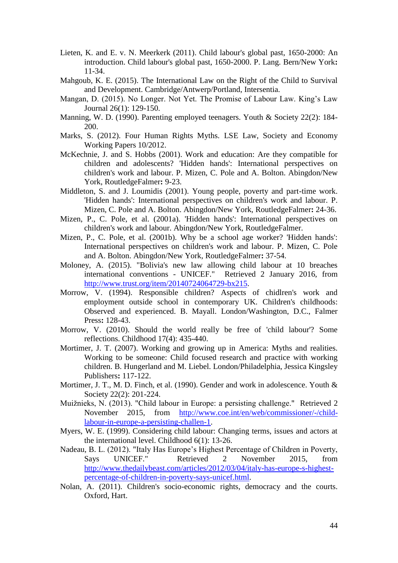- Lieten, K. and E. v. N. Meerkerk (2011). Child labour's global past, 1650-2000: An introduction. Child labour's global past, 1650-2000. P. Lang. Bern/New York**:**  11-34.
- Mahgoub, K. E. (2015). The International Law on the Right of the Child to Survival and Development. Cambridge/Antwerp/Portland, Intersentia.
- Mangan, D. (2015). No Longer. Not Yet. The Promise of Labour Law. King's Law Journal 26(1): 129-150.
- Manning, W. D. (1990). Parenting employed teenagers. Youth & Society 22(2): 184- 200.
- Marks, S. (2012). Four Human Rights Myths. LSE Law, Society and Economy Working Papers 10/2012.
- McKechnie, J. and S. Hobbs (2001). Work and education: Are they compatible for children and adolescents? 'Hidden hands': International perspectives on children's work and labour. P. Mizen, C. Pole and A. Bolton. Abingdon/New York, RoutledgeFalmer**:** 9-23.
- Middleton, S. and J. Loumidis (2001). Young people, poverty and part-time work. 'Hidden hands': International perspectives on children's work and labour. P. Mizen, C. Pole and A. Bolton. Abingdon/New York, RoutledgeFalmer**:** 24-36.
- Mizen, P., C. Pole, et al. (2001a). 'Hidden hands': International perspectives on children's work and labour. Abingdon/New York, RoutledgeFalmer.
- Mizen, P., C. Pole, et al. (2001b). Why be a school age worker? 'Hidden hands': International perspectives on children's work and labour. P. Mizen, C. Pole and A. Bolton. Abingdon/New York, RoutledgeFalmer**:** 37-54.
- Moloney, A. (2015). "Bolivia's new law allowing child labour at 10 breaches international conventions - UNICEF." Retrieved 2 January 2016, from [http://www.trust.org/item/20140724064729-bx215.](http://www.trust.org/item/20140724064729-bx215)
- Morrow, V. (1994). Responsible children? Aspects of chidlren's work and employment outside school in contemporary UK. Children's childhoods: Observed and experienced. B. Mayall. London/Washington, D.C., Falmer Press**:** 128-43.
- Morrow, V. (2010). Should the world really be free of 'child labour'? Some reflections. Childhood 17(4): 435-440.
- Mortimer, J. T. (2007). Working and growing up in America: Myths and realities. Working to be someone: Child focused research and practice with working children. B. Hungerland and M. Liebel. London/Philadelphia, Jessica Kingsley Publishers**:** 117-122.
- Mortimer, J. T., M. D. Finch, et al. (1990). Gender and work in adolescence. Youth & Society 22(2): 201-224.
- Muižnieks, N. (2013). "Child labour in Europe: a persisting challenge." Retrieved 2 November 2015, from [http://www.coe.int/en/web/commissioner/-/child](http://www.coe.int/en/web/commissioner/-/child-labour-in-europe-a-persisting-challen-1)[labour-in-europe-a-persisting-challen-1.](http://www.coe.int/en/web/commissioner/-/child-labour-in-europe-a-persisting-challen-1)
- Myers, W. E. (1999). Considering child labour: Changing terms, issues and actors at the international level. Childhood 6(1): 13-26.
- Nadeau, B. L. (2012). "Italy Has Europe's Highest Percentage of Children in Poverty, Says UNICEF." Retrieved 2 November 2015, from [http://www.thedailybeast.com/articles/2012/03/04/italy-has-europe-s-highest](http://www.thedailybeast.com/articles/2012/03/04/italy-has-europe-s-highest-percentage-of-children-in-poverty-says-unicef.html)[percentage-of-children-in-poverty-says-unicef.html.](http://www.thedailybeast.com/articles/2012/03/04/italy-has-europe-s-highest-percentage-of-children-in-poverty-says-unicef.html)
- Nolan, A. (2011). Children's socio-economic rights, democracy and the courts. Oxford, Hart.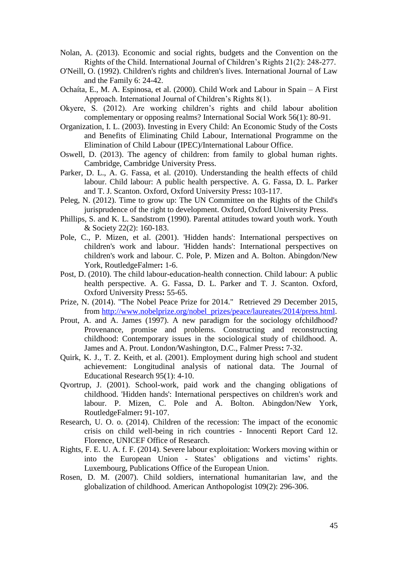- Nolan, A. (2013). Economic and social rights, budgets and the Convention on the Rights of the Child. International Journal of Children's Rights 21(2): 248-277.
- O'Neill, O. (1992). Children's rights and children's lives. International Journal of Law and the Family 6: 24-42.
- Ochaíta, E., M. A. Espinosa, et al. (2000). Child Work and Labour in Spain A First Approach. International Journal of Children's Rights 8(1).
- Okyere, S. (2012). Are working children's rights and child labour abolition complementary or opposing realms? International Social Work 56(1): 80-91.
- Organization, I. L. (2003). Investing in Every Child: An Economic Study of the Costs and Benefits of Eliminating Child Labour, International Programme on the Elimination of Child Labour (IPEC)/International Labour Office.
- Oswell, D. (2013). The agency of children: from family to global human rights. Cambridge, Cambridge University Press.
- Parker, D. L., A. G. Fassa, et al. (2010). Understanding the health effects of child labour. Child labour: A public health perspective. A. G. Fassa, D. L. Parker and T. J. Scanton. Oxford, Oxford University Press**:** 103-117.
- Peleg, N. (2012). Time to grow up: The UN Committee on the Rights of the Child's jurisprudence of the right to development. Oxford, Oxford University Press.
- Phillips, S. and K. L. Sandstrom (1990). Parental attitudes toward youth work. Youth & Society 22(2): 160-183.
- Pole, C., P. Mizen, et al. (2001). 'Hidden hands': International perspectives on children's work and labour. 'Hidden hands': International perspectives on children's work and labour. C. Pole, P. Mizen and A. Bolton. Abingdon/New York, RoutledgeFalmer**:** 1-6.
- Post, D. (2010). The child labour-education-health connection. Child labour: A public health perspective. A. G. Fassa, D. L. Parker and T. J. Scanton. Oxford, Oxford University Press**:** 55-65.
- Prize, N. (2014). "The Nobel Peace Prize for 2014." Retrieved 29 December 2015, from [http://www.nobelprize.org/nobel\\_prizes/peace/laureates/2014/press.html.](http://www.nobelprize.org/nobel_prizes/peace/laureates/2014/press.html)
- Prout, A. and A. James (1997). A new paradigm for the sociology ofchildhood? Provenance, promise and problems. Constructing and reconstructing childhood: Contemporary issues in the sociological study of childhood. A. James and A. Prout. London/Washington, D.C., Falmer Press**:** 7-32.
- Quirk, K. J., T. Z. Keith, et al. (2001). Employment during high school and student achievement: Longitudinal analysis of national data. The Journal of Educational Research 95(1): 4-10.
- Qvortrup, J. (2001). School-work, paid work and the changing obligations of childhood. 'Hidden hands': International perspectives on children's work and labour. P. Mizen, C. Pole and A. Bolton. Abingdon/New York, RoutledgeFalmer**:** 91-107.
- Research, U. O. o. (2014). Children of the recession: The impact of the economic crisis on child well-being in rich countries - Innocenti Report Card 12. Florence, UNICEF Office of Research.
- Rights, F. E. U. A. f. F. (2014). Severe labour exploitation: Workers moving within or into the European Union - States' obligations and victims' rights. Luxembourg, Publications Office of the European Union.
- Rosen, D. M. (2007). Child soldiers, international humanitarian law, and the globalization of childhood. American Anthopologist 109(2): 296-306.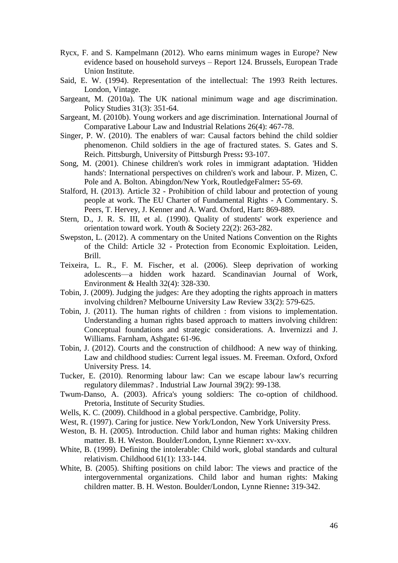- Rycx, F. and S. Kampelmann (2012). Who earns minimum wages in Europe? New evidence based on household surveys – Report 124. Brussels, European Trade Union Institute.
- Said, E. W. (1994). Representation of the intellectual: The 1993 Reith lectures. London, Vintage.
- Sargeant, M. (2010a). The UK national minimum wage and age discrimination. Policy Studies 31(3): 351-64.
- Sargeant, M. (2010b). Young workers and age discrimination. International Journal of Comparative Labour Law and Industrial Relations 26(4): 467-78.
- Singer, P. W. (2010). The enablers of war: Causal factors behind the child soldier phenomenon. Child soldiers in the age of fractured states. S. Gates and S. Reich. Pittsburgh, University of Pittsburgh Press**:** 93-107.
- Song, M. (2001). Chinese children's work roles in immigrant adaptation. 'Hidden hands': International perspectives on children's work and labour. P. Mizen, C. Pole and A. Bolton. Abingdon/New York, RoutledgeFalmer**:** 55-69.
- Stalford, H. (2013). Article 32 Prohibition of child labour and protection of young people at work. The EU Charter of Fundamental Rights - A Commentary. S. Peers, T. Hervey, J. Kenner and A. Ward. Oxford, Hart**:** 869-889.
- Stern, D., J. R. S. III, et al. (1990). Quality of students' work experience and orientation toward work. Youth & Society 22(2): 263-282.
- Swepston, L. (2012). A commentary on the United Nations Convention on the Rights of the Child: Article 32 - Protection from Economic Exploitation. Leiden, Brill.
- Teixeira, L. R., F. M. Fischer, et al. (2006). Sleep deprivation of working adolescents—a hidden work hazard. Scandinavian Journal of Work, Environment & Health 32(4): 328-330.
- Tobin, J. (2009). Judging the judges: Are they adopting the rights approach in matters involving children? Melbourne University Law Review 33(2): 579-625.
- Tobin, J. (2011). The human rights of children : from visions to implementation. Understanding a human rights based approach to matters involving children: Conceptual foundations and strategic considerations. A. Invernizzi and J. Williams. Farnham, Ashgate**:** 61-96.
- Tobin, J. (2012). Courts and the construction of childhood: A new way of thinking. Law and childhood studies: Current legal issues. M. Freeman. Oxford, Oxford University Press. 14.
- Tucker, E. (2010). Renorming labour law: Can we escape labour law's recurring regulatory dilemmas? . Industrial Law Journal 39(2): 99-138.
- Twum-Danso, A. (2003). Africa's young soldiers: The co-option of childhood. Pretoria, Institute of Security Studies.
- Wells, K. C. (2009). Childhood in a global perspective. Cambridge, Polity.
- West, R. (1997). Caring for justice. New York/London, New York University Press.
- Weston, B. H. (2005). Introduction. Child labor and human rights: Making children matter. B. H. Weston. Boulder/London, Lynne Rienner**:** xv-xxv.
- White, B. (1999). Defining the intolerable: Child work, global standards and cultural relativism. Childhood 61(1): 133-144.
- White, B. (2005). Shifting positions on child labor: The views and practice of the intergovernmental organizations. Child labor and human rights: Making children matter. B. H. Weston. Boulder/London, Lynne Rienne**:** 319-342.